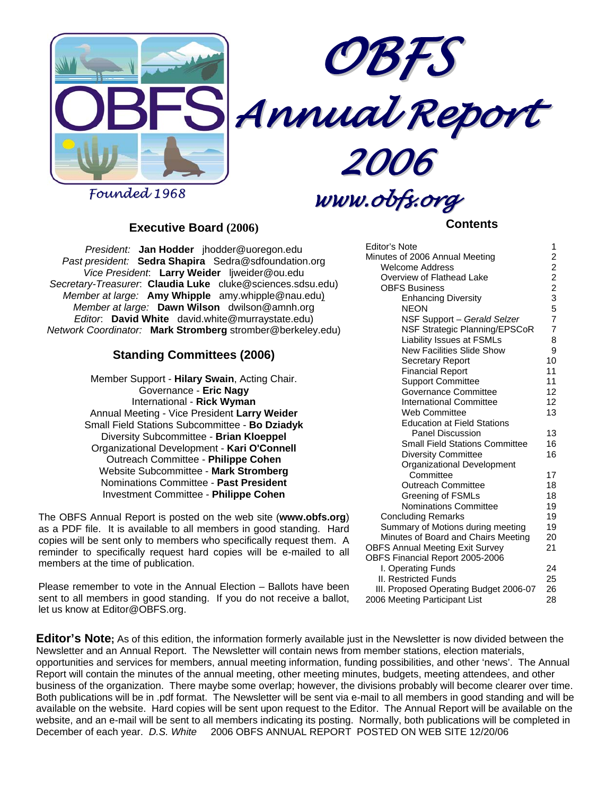



*Annual Report*

*2006*

*Founded 1968*

## *www.obfs.org*

#### **Executive Board (2006)**

*President:* **Jan Hodder** jhodder@uoregon.edu *Past president:* **Sedra Shapira** Sedra@sdfoundation.org *Vice President*: **Larry Weider** ljweider@ou.edu *Secretary-Treasurer*: **Claudia Luke** cluke@sciences.sdsu.edu) *Member at large:* **Amy Whipple** amy.whipple@nau.edu) *Member at large:* **Dawn Wilson** dwilson@amnh.org *Editor*: **David White** david.white@murraystate.edu) *Network Coordinator:* **Mark Stromberg** stromber@berkeley.edu)

#### **Standing Committees (2006)**

Member Support - **Hilary Swain**, Acting Chair. Governance - **Eric Nagy** International - **Rick Wyman** Annual Meeting - Vice President **Larry Weider** Small Field Stations Subcommittee - **Bo Dziadyk** Diversity Subcommittee - **Brian Kloeppel** Organizational Development - **Kari O'Connell** Outreach Committee - **Philippe Cohen** Website Subcommittee - **Mark Stromberg** Nominations Committee - **Past President** Investment Committee - **Philippe Cohen**

The OBFS Annual Report is posted on the web site (**www.obfs.org**) as a PDF file. It is available to all members in good standing. Hard copies will be sent only to members who specifically request them. A reminder to specifically request hard copies will be e-mailed to all members at the time of publication.

Please remember to vote in the Annual Election – Ballots have been sent to all members in good standing. If you do not receive a ballot, let us know at Editor@OBFS.org.

**Contents** 

| Editor's Note                          | 1               |
|----------------------------------------|-----------------|
| Minutes of 2006 Annual Meeting         |                 |
| <b>Welcome Address</b>                 |                 |
| Overview of Flathead Lake              |                 |
| <b>OBFS Business</b>                   |                 |
| <b>Enhancing Diversity</b>             | 222357          |
| NEON                                   |                 |
| NSF Support - Gerald Selzer            |                 |
| NSF Strategic Planning/EPSCoR          | $\overline{7}$  |
| <b>Liability Issues at FSMLs</b>       | 8               |
| <b>New Facilities Slide Show</b>       | 9               |
| Secretary Report                       | 10              |
| <b>Financial Report</b>                | 11              |
| <b>Support Committee</b>               | 11              |
| Governance Committee                   | 12              |
| International Committee                | 12 <sup>2</sup> |
| Web Committee                          | 13              |
| <b>Education at Field Stations</b>     |                 |
| Panel Discussion                       | 13              |
| <b>Small Field Stations Committee</b>  | 16              |
| <b>Diversity Committee</b>             | 16              |
| Organizational Development             |                 |
| Committee                              | 17              |
| <b>Outreach Committee</b>              | 18              |
| Greening of FSMLs                      | 18              |
| <b>Nominations Committee</b>           | 19              |
| <b>Concluding Remarks</b>              | 19              |
| Summary of Motions during meeting      | 19              |
| Minutes of Board and Chairs Meeting    | 20              |
| <b>OBFS Annual Meeting Exit Survey</b> | 21              |
| OBFS Financial Report 2005-2006        |                 |
| I. Operating Funds                     | 24              |
| <b>II. Restricted Funds</b>            | 25              |
| III. Proposed Operating Budget 2006-07 | 26              |
| 2006 Meeting Participant List          | 28              |

**Editor's Note;** As of this edition, the information formerly available just in the Newsletter is now divided between the Newsletter and an Annual Report. The Newsletter will contain news from member stations, election materials, opportunities and services for members, annual meeting information, funding possibilities, and other 'news'. The Annual Report will contain the minutes of the annual meeting, other meeting minutes, budgets, meeting attendees, and other business of the organization. There maybe some overlap; however, the divisions probably will become clearer over time. Both publications will be in .pdf format. The Newsletter will be sent via e-mail to all members in good standing and will be available on the website. Hard copies will be sent upon request to the Editor. The Annual Report will be available on the website, and an e-mail will be sent to all members indicating its posting. Normally, both publications will be completed in December of each year. *D.S. White* 2006 OBFS ANNUAL REPORT POSTED ON WEB SITE 12/20/06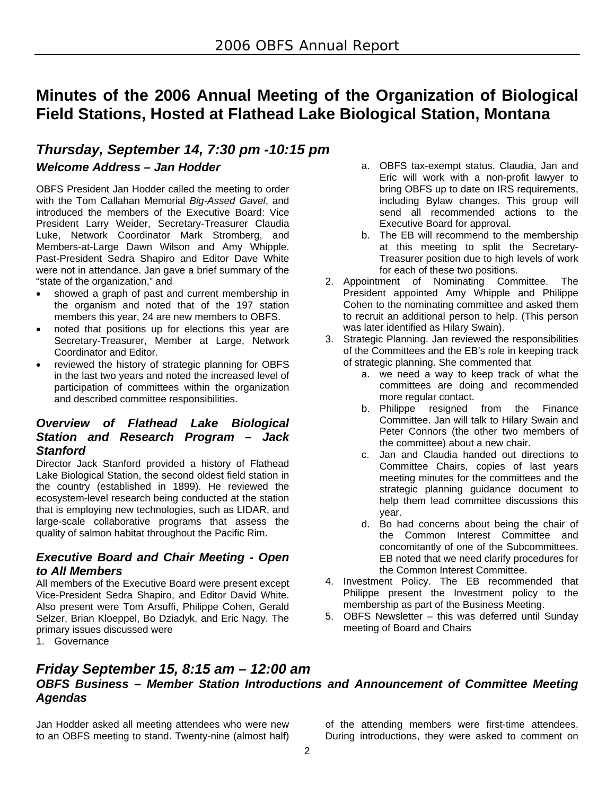## **Minutes of the 2006 Annual Meeting of the Organization of Biological Field Stations, Hosted at Flathead Lake Biological Station, Montana**

## *Thursday, September 14, 7:30 pm -10:15 pm Welcome Address – Jan Hodder*

OBFS President Jan Hodder called the meeting to order with the Tom Callahan Memorial *Big-Assed Gavel*, and introduced the members of the Executive Board: Vice President Larry Weider, Secretary-Treasurer Claudia Luke, Network Coordinator Mark Stromberg, and Members-at-Large Dawn Wilson and Amy Whipple. Past-President Sedra Shapiro and Editor Dave White were not in attendance. Jan gave a brief summary of the "state of the organization," and

- showed a graph of past and current membership in the organism and noted that of the 197 station members this year, 24 are new members to OBFS.
- noted that positions up for elections this year are Secretary-Treasurer, Member at Large, Network Coordinator and Editor.
- reviewed the history of strategic planning for OBFS in the last two years and noted the increased level of participation of committees within the organization and described committee responsibilities.

#### *Overview of Flathead Lake Biological Station and Research Program – Jack Stanford*

Director Jack Stanford provided a history of Flathead Lake Biological Station, the second oldest field station in the country (established in 1899). He reviewed the ecosystem-level research being conducted at the station that is employing new technologies, such as LIDAR, and large-scale collaborative programs that assess the quality of salmon habitat throughout the Pacific Rim.

#### *Executive Board and Chair Meeting - Open to All Members*

All members of the Executive Board were present except Vice-President Sedra Shapiro, and Editor David White. Also present were Tom Arsuffi, Philippe Cohen, Gerald Selzer, Brian Kloeppel, Bo Dziadyk, and Eric Nagy. The primary issues discussed were

1. Governance

- a. OBFS tax-exempt status. Claudia, Jan and Eric will work with a non-profit lawyer to bring OBFS up to date on IRS requirements, including Bylaw changes. This group will send all recommended actions to the Executive Board for approval.
- b. The EB will recommend to the membership at this meeting to split the Secretary-Treasurer position due to high levels of work for each of these two positions.
- 2. Appointment of Nominating Committee. The President appointed Amy Whipple and Philippe Cohen to the nominating committee and asked them to recruit an additional person to help. (This person was later identified as Hilary Swain).
- 3. Strategic Planning. Jan reviewed the responsibilities of the Committees and the EB's role in keeping track of strategic planning. She commented that
	- a. we need a way to keep track of what the committees are doing and recommended more regular contact.
	- b. Philippe resigned from the Finance Committee. Jan will talk to Hilary Swain and Peter Connors (the other two members of the committee) about a new chair.
	- c. Jan and Claudia handed out directions to Committee Chairs, copies of last years meeting minutes for the committees and the strategic planning guidance document to help them lead committee discussions this year.
	- d. Bo had concerns about being the chair of the Common Interest Committee and concomitantly of one of the Subcommittees. EB noted that we need clarify procedures for the Common Interest Committee.
- 4. Investment Policy. The EB recommended that Philippe present the Investment policy to the membership as part of the Business Meeting.
- 5. OBFS Newsletter this was deferred until Sunday meeting of Board and Chairs

#### *Friday September 15, 8:15 am – 12:00 am OBFS Business – Member Station Introductions and Announcement of Committee Meeting Agendas*

Jan Hodder asked all meeting attendees who were new to an OBFS meeting to stand. Twenty-nine (almost half) of the attending members were first-time attendees. During introductions, they were asked to comment on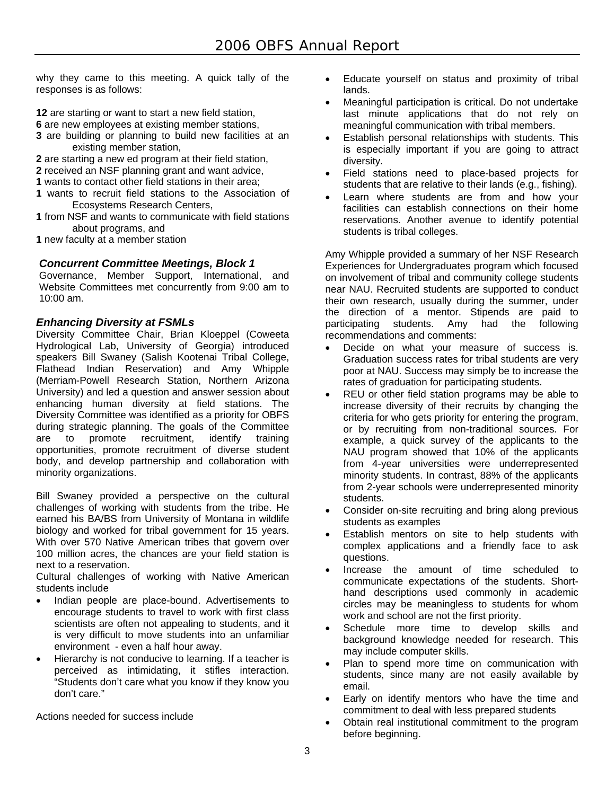why they came to this meeting. A quick tally of the responses is as follows:

- **12** are starting or want to start a new field station,
- **6** are new employees at existing member stations,
- **3** are building or planning to build new facilities at an existing member station,
- **2** are starting a new ed program at their field station,
- **2** received an NSF planning grant and want advice,
- **1** wants to contact other field stations in their area;
- **1** wants to recruit field stations to the Association of Ecosystems Research Centers,
- **1** from NSF and wants to communicate with field stations about programs, and
- **1** new faculty at a member station

#### *Concurrent Committee Meetings, Block 1*

Governance, Member Support, International, and Website Committees met concurrently from 9:00 am to 10:00 am.

#### *Enhancing Diversity at FSMLs*

Diversity Committee Chair, Brian Kloeppel (Coweeta Hydrological Lab, University of Georgia) introduced speakers Bill Swaney (Salish Kootenai Tribal College, Flathead Indian Reservation) and Amy Whipple (Merriam-Powell Research Station, Northern Arizona University) and led a question and answer session about enhancing human diversity at field stations. The Diversity Committee was identified as a priority for OBFS during strategic planning. The goals of the Committee are to promote recruitment, identify training opportunities, promote recruitment of diverse student body, and develop partnership and collaboration with minority organizations.

Bill Swaney provided a perspective on the cultural challenges of working with students from the tribe. He earned his BA/BS from University of Montana in wildlife biology and worked for tribal government for 15 years. With over 570 Native American tribes that govern over 100 million acres, the chances are your field station is next to a reservation.

Cultural challenges of working with Native American students include

- Indian people are place-bound. Advertisements to encourage students to travel to work with first class scientists are often not appealing to students, and it is very difficult to move students into an unfamiliar environment - even a half hour away.
- Hierarchy is not conducive to learning. If a teacher is perceived as intimidating, it stifles interaction. "Students don't care what you know if they know you don't care."

Actions needed for success include

- Educate yourself on status and proximity of tribal lands.
- Meaningful participation is critical. Do not undertake last minute applications that do not rely on meaningful communication with tribal members.
- Establish personal relationships with students. This is especially important if you are going to attract diversity.
- Field stations need to place-based projects for students that are relative to their lands (e.g., fishing).
- Learn where students are from and how your facilities can establish connections on their home reservations. Another avenue to identify potential students is tribal colleges.

Amy Whipple provided a summary of her NSF Research Experiences for Undergraduates program which focused on involvement of tribal and community college students near NAU. Recruited students are supported to conduct their own research, usually during the summer, under the direction of a mentor. Stipends are paid to participating students. Amy had the following recommendations and comments:

- Decide on what your measure of success is. Graduation success rates for tribal students are very poor at NAU. Success may simply be to increase the rates of graduation for participating students.
- REU or other field station programs may be able to increase diversity of their recruits by changing the criteria for who gets priority for entering the program, or by recruiting from non-traditional sources. For example, a quick survey of the applicants to the NAU program showed that 10% of the applicants from 4-year universities were underrepresented minority students. In contrast, 88% of the applicants from 2-year schools were underrepresented minority students.
- Consider on-site recruiting and bring along previous students as examples
- Establish mentors on site to help students with complex applications and a friendly face to ask questions.
- Increase the amount of time scheduled to communicate expectations of the students. Shorthand descriptions used commonly in academic circles may be meaningless to students for whom work and school are not the first priority.
- Schedule more time to develop skills and background knowledge needed for research. This may include computer skills.
- Plan to spend more time on communication with students, since many are not easily available by email.
- Early on identify mentors who have the time and commitment to deal with less prepared students
- Obtain real institutional commitment to the program before beginning.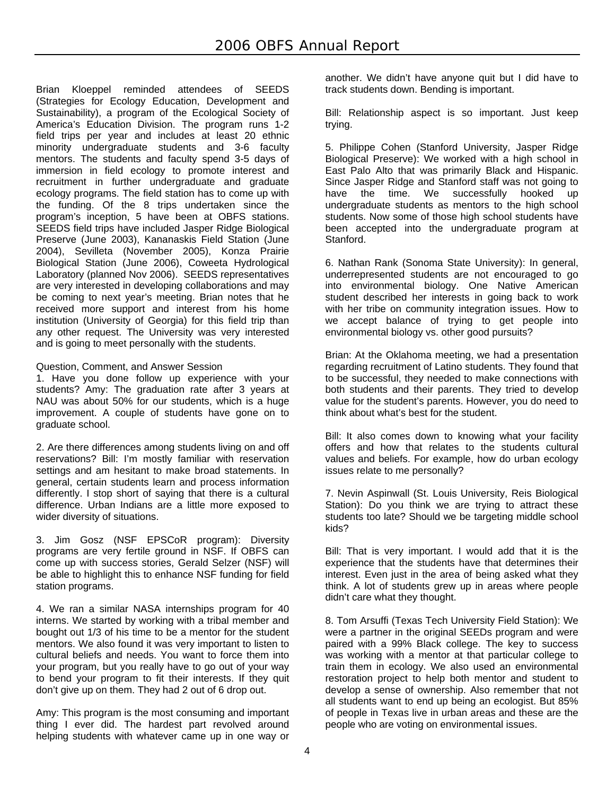Brian Kloeppel reminded attendees of SEEDS (Strategies for Ecology Education, Development and Sustainability), a program of the Ecological Society of America's Education Division. The program runs 1-2 field trips per year and includes at least 20 ethnic minority undergraduate students and 3-6 faculty mentors. The students and faculty spend 3-5 days of immersion in field ecology to promote interest and recruitment in further undergraduate and graduate ecology programs. The field station has to come up with the funding. Of the 8 trips undertaken since the program's inception, 5 have been at OBFS stations. SEEDS field trips have included Jasper Ridge Biological Preserve (June 2003), Kananaskis Field Station (June 2004), Sevilleta (November 2005), Konza Prairie Biological Station (June 2006), Coweeta Hydrological Laboratory (planned Nov 2006). SEEDS representatives are very interested in developing collaborations and may be coming to next year's meeting. Brian notes that he received more support and interest from his home institution (University of Georgia) for this field trip than any other request. The University was very interested and is going to meet personally with the students.

#### Question, Comment, and Answer Session

1. Have you done follow up experience with your students? Amy: The graduation rate after 3 years at NAU was about 50% for our students, which is a huge improvement. A couple of students have gone on to graduate school.

2. Are there differences among students living on and off reservations? Bill: I'm mostly familiar with reservation settings and am hesitant to make broad statements. In general, certain students learn and process information differently. I stop short of saying that there is a cultural difference. Urban Indians are a little more exposed to wider diversity of situations.

3. Jim Gosz (NSF EPSCoR program): Diversity programs are very fertile ground in NSF. If OBFS can come up with success stories, Gerald Selzer (NSF) will be able to highlight this to enhance NSF funding for field station programs.

4. We ran a similar NASA internships program for 40 interns. We started by working with a tribal member and bought out 1/3 of his time to be a mentor for the student mentors. We also found it was very important to listen to cultural beliefs and needs. You want to force them into your program, but you really have to go out of your way to bend your program to fit their interests. If they quit don't give up on them. They had 2 out of 6 drop out.

Amy: This program is the most consuming and important thing I ever did. The hardest part revolved around helping students with whatever came up in one way or

another. We didn't have anyone quit but I did have to track students down. Bending is important.

Bill: Relationship aspect is so important. Just keep trying.

5. Philippe Cohen (Stanford University, Jasper Ridge Biological Preserve): We worked with a high school in East Palo Alto that was primarily Black and Hispanic. Since Jasper Ridge and Stanford staff was not going to have the time. We successfully hooked up undergraduate students as mentors to the high school students. Now some of those high school students have been accepted into the undergraduate program at Stanford.

6. Nathan Rank (Sonoma State University): In general, underrepresented students are not encouraged to go into environmental biology. One Native American student described her interests in going back to work with her tribe on community integration issues. How to we accept balance of trying to get people into environmental biology vs. other good pursuits?

Brian: At the Oklahoma meeting, we had a presentation regarding recruitment of Latino students. They found that to be successful, they needed to make connections with both students and their parents. They tried to develop value for the student's parents. However, you do need to think about what's best for the student.

Bill: It also comes down to knowing what your facility offers and how that relates to the students cultural values and beliefs. For example, how do urban ecology issues relate to me personally?

7. Nevin Aspinwall (St. Louis University, Reis Biological Station): Do you think we are trying to attract these students too late? Should we be targeting middle school kids?

Bill: That is very important. I would add that it is the experience that the students have that determines their interest. Even just in the area of being asked what they think. A lot of students grew up in areas where people didn't care what they thought.

8. Tom Arsuffi (Texas Tech University Field Station): We were a partner in the original SEEDs program and were paired with a 99% Black college. The key to success was working with a mentor at that particular college to train them in ecology. We also used an environmental restoration project to help both mentor and student to develop a sense of ownership. Also remember that not all students want to end up being an ecologist. But 85% of people in Texas live in urban areas and these are the people who are voting on environmental issues.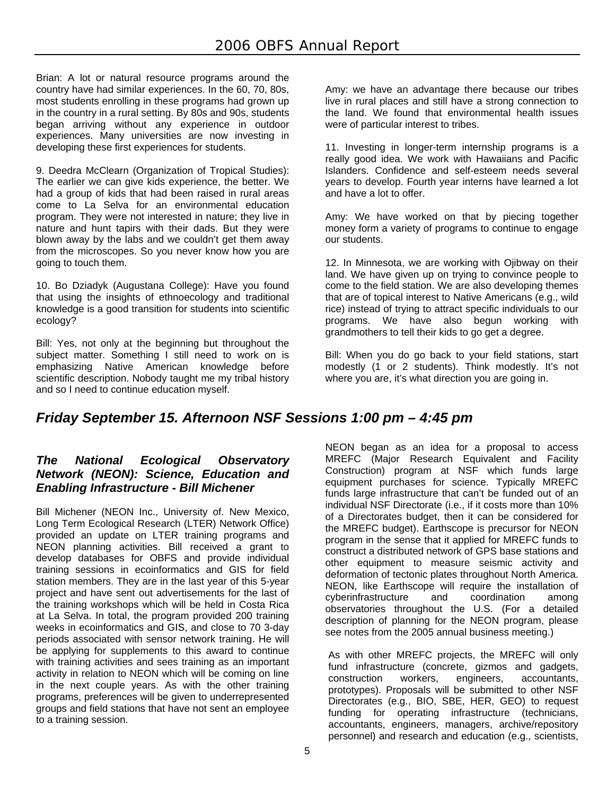Brian: A lot or natural resource programs around the country have had similar experiences. In the 60, 70, 80s, most students enrolling in these programs had grown up in the country in a rural setting. By 80s and 90s, students began arriving without any experience in outdoor experiences. Many universities are now investing in developing these first experiences for students.

9. Deedra McClearn (Organization of Tropical Studies): The earlier we can give kids experience, the better. We had a group of kids that had been raised in rural areas come to La Selva for an environmental education program. They were not interested in nature; they live in nature and hunt tapirs with their dads. But they were blown away by the labs and we couldn't get them away from the microscopes. So you never know how you are going to touch them.

10. Bo Dziadyk (Augustana College): Have you found that using the insights of ethnoecology and traditional knowledge is a good transition for students into scientific ecology?

Bill: Yes, not only at the beginning but throughout the subject matter. Something I still need to work on is emphasizing Native American knowledge before scientific description. Nobody taught me my tribal history and so I need to continue education myself.

Amy: we have an advantage there because our tribes live in rural places and still have a strong connection to the land. We found that environmental health issues were of particular interest to tribes.

11. Investing in longer-term internship programs is a really good idea. We work with Hawaiians and Pacific Islanders. Confidence and self-esteem needs several years to develop. Fourth year interns have learned a lot and have a lot to offer.

Amy: We have worked on that by piecing together money form a variety of programs to continue to engage our students.

12. In Minnesota, we are working with Ojibway on their land. We have given up on trying to convince people to come to the field station. We are also developing themes that are of topical interest to Native Americans (e.g., wild rice) instead of trying to attract specific individuals to our programs. We have also begun working with grandmothers to tell their kids to go get a degree.

Bill: When you do go back to your field stations, start modestly (1 or 2 students). Think modestly. It's not where you are, it's what direction you are going in.

## *Friday September 15. Afternoon NSF Sessions 1:00 pm – 4:45 pm*

#### *The National Ecological Observatory Network (NEON): Science, Education and Enabling Infrastructure - Bill Michener*

Bill Michener (NEON Inc., University of. New Mexico, Long Term Ecological Research (LTER) Network Office) provided an update on LTER training programs and NEON planning activities. Bill received a grant to develop databases for OBFS and provide individual training sessions in ecoinformatics and GIS for field station members. They are in the last year of this 5-year project and have sent out advertisements for the last of the training workshops which will be held in Costa Rica at La Selva. In total, the program provided 200 training weeks in ecoinformatics and GIS, and close to 70 3-day periods associated with sensor network training. He will be applying for supplements to this award to continue with training activities and sees training as an important activity in relation to NEON which will be coming on line in the next couple years. As with the other training programs, preferences will be given to underrepresented groups and field stations that have not sent an employee to a training session.

NEON began as an idea for a proposal to access MREFC (Major Research Equivalent and Facility Construction) program at NSF which funds large equipment purchases for science. Typically MREFC funds large infrastructure that can't be funded out of an individual NSF Directorate (i.e., if it costs more than 10% of a Directorates budget, then it can be considered for the MREFC budget). Earthscope is precursor for NEON program in the sense that it applied for MREFC funds to construct a distributed network of GPS base stations and other equipment to measure seismic activity and deformation of tectonic plates throughout North America. NEON, like Earthscope will require the installation of cyberinfrastructure and coordination among observatories throughout the U.S. (For a detailed description of planning for the NEON program, please see notes from the 2005 annual business meeting.)

As with other MREFC projects, the MREFC will only fund infrastructure (concrete, gizmos and gadgets, construction workers, engineers, accountants, prototypes). Proposals will be submitted to other NSF Directorates (e.g., BIO, SBE, HER, GEO) to request funding for operating infrastructure (technicians, accountants, engineers, managers, archive/repository personnel) and research and education (e.g., scientists,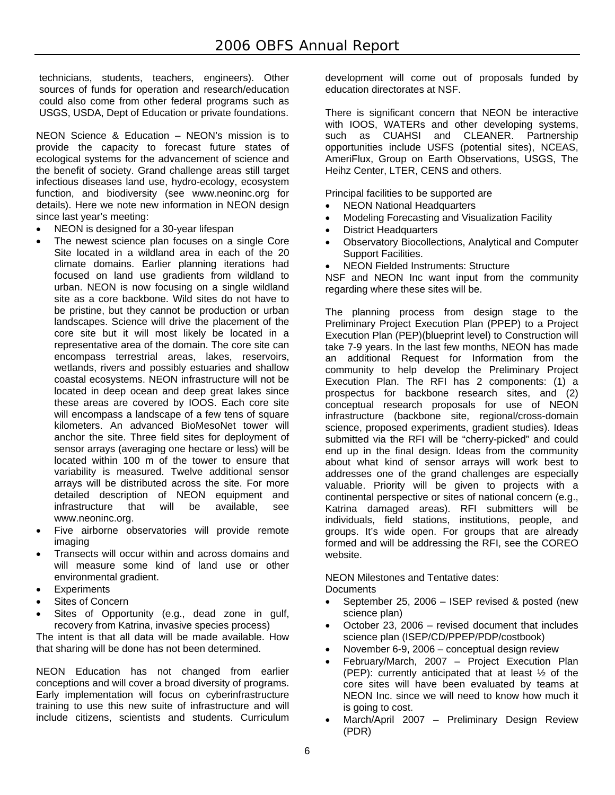technicians, students, teachers, engineers). Other sources of funds for operation and research/education could also come from other federal programs such as USGS, USDA, Dept of Education or private foundations.

NEON Science & Education – NEON's mission is to provide the capacity to forecast future states of ecological systems for the advancement of science and the benefit of society. Grand challenge areas still target infectious diseases land use, hydro-ecology, ecosystem function, and biodiversity (see www.neoninc.org for details). Here we note new information in NEON design since last year's meeting:

- NEON is designed for a 30-year lifespan
- The newest science plan focuses on a single Core Site located in a wildland area in each of the 20 climate domains. Earlier planning iterations had focused on land use gradients from wildland to urban. NEON is now focusing on a single wildland site as a core backbone. Wild sites do not have to be pristine, but they cannot be production or urban landscapes. Science will drive the placement of the core site but it will most likely be located in a representative area of the domain. The core site can encompass terrestrial areas, lakes, reservoirs, wetlands, rivers and possibly estuaries and shallow coastal ecosystems. NEON infrastructure will not be located in deep ocean and deep great lakes since these areas are covered by IOOS. Each core site will encompass a landscape of a few tens of square kilometers. An advanced BioMesoNet tower will anchor the site. Three field sites for deployment of sensor arrays (averaging one hectare or less) will be located within 100 m of the tower to ensure that variability is measured. Twelve additional sensor arrays will be distributed across the site. For more detailed description of NEON equipment and infrastructure that will be available, see www.neoninc.org.
- Five airborne observatories will provide remote imaging
- Transects will occur within and across domains and will measure some kind of land use or other environmental gradient.
- **Experiments**
- Sites of Concern
- Sites of Opportunity (e.g., dead zone in gulf, recovery from Katrina, invasive species process) The intent is that all data will be made available. How

that sharing will be done has not been determined.

NEON Education has not changed from earlier conceptions and will cover a broad diversity of programs. Early implementation will focus on cyberinfrastructure training to use this new suite of infrastructure and will include citizens, scientists and students. Curriculum

development will come out of proposals funded by education directorates at NSF.

There is significant concern that NEON be interactive with IOOS, WATERs and other developing systems, such as CUAHSI and CLEANER. Partnership opportunities include USFS (potential sites), NCEAS, AmeriFlux, Group on Earth Observations, USGS, The Heihz Center, LTER, CENS and others.

Principal facilities to be supported are

- NEON National Headquarters
- Modeling Forecasting and Visualization Facility
- District Headquarters
- Observatory Biocollections, Analytical and Computer Support Facilities.
- NEON Fielded Instruments: Structure

NSF and NEON Inc want input from the community regarding where these sites will be.

The planning process from design stage to the Preliminary Project Execution Plan (PPEP) to a Project Execution Plan (PEP)(blueprint level) to Construction will take 7-9 years. In the last few months, NEON has made an additional Request for Information from the community to help develop the Preliminary Project Execution Plan. The RFI has 2 components: (1) a prospectus for backbone research sites, and (2) conceptual research proposals for use of NEON infrastructure (backbone site, regional/cross-domain science, proposed experiments, gradient studies). Ideas submitted via the RFI will be "cherry-picked" and could end up in the final design. Ideas from the community about what kind of sensor arrays will work best to addresses one of the grand challenges are especially valuable. Priority will be given to projects with a continental perspective or sites of national concern (e.g., Katrina damaged areas). RFI submitters will be individuals, field stations, institutions, people, and groups. It's wide open. For groups that are already formed and will be addressing the RFI, see the COREO website.

NEON Milestones and Tentative dates: **Documents** 

- September 25, 2006 ISEP revised & posted (new science plan)
- October 23, 2006 revised document that includes science plan (ISEP/CD/PPEP/PDP/costbook)
- November 6-9, 2006 conceptual design review
- February/March, 2007 Project Execution Plan (PEP): currently anticipated that at least ½ of the core sites will have been evaluated by teams at NEON Inc. since we will need to know how much it is going to cost.
- March/April 2007 Preliminary Design Review (PDR)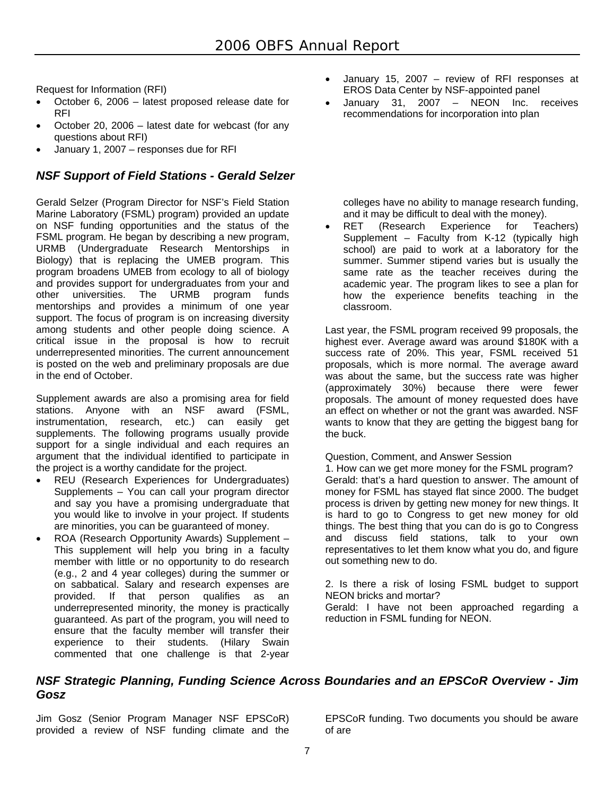Request for Information (RFI)

- October 6, 2006 latest proposed release date for RFI
- October 20, 2006 latest date for webcast (for any questions about RFI)
- January 1, 2007 responses due for RFI

#### *NSF Support of Field Stations - Gerald Selzer*

Gerald Selzer (Program Director for NSF's Field Station Marine Laboratory (FSML) program) provided an update on NSF funding opportunities and the status of the FSML program. He began by describing a new program, URMB (Undergraduate Research Mentorships in Biology) that is replacing the UMEB program. This program broadens UMEB from ecology to all of biology and provides support for undergraduates from your and other universities. The URMB program funds mentorships and provides a minimum of one year support. The focus of program is on increasing diversity among students and other people doing science. A critical issue in the proposal is how to recruit underrepresented minorities. The current announcement is posted on the web and preliminary proposals are due in the end of October.

Supplement awards are also a promising area for field stations. Anyone with an NSF award (FSML, instrumentation, research, etc.) can easily get supplements. The following programs usually provide support for a single individual and each requires an argument that the individual identified to participate in the project is a worthy candidate for the project.

- REU (Research Experiences for Undergraduates) Supplements – You can call your program director and say you have a promising undergraduate that you would like to involve in your project. If students are minorities, you can be guaranteed of money.
- ROA (Research Opportunity Awards) Supplement This supplement will help you bring in a faculty member with little or no opportunity to do research (e.g., 2 and 4 year colleges) during the summer or on sabbatical. Salary and research expenses are provided. If that person qualifies as an underrepresented minority, the money is practically guaranteed. As part of the program, you will need to ensure that the faculty member will transfer their experience to their students. (Hilary Swain commented that one challenge is that 2-year
- January 15, 2007 review of RFI responses at EROS Data Center by NSF-appointed panel
- January 31, 2007 NEON Inc. receives recommendations for incorporation into plan

colleges have no ability to manage research funding, and it may be difficult to deal with the money).

 RET (Research Experience for Teachers) Supplement – Faculty from K-12 (typically high school) are paid to work at a laboratory for the summer. Summer stipend varies but is usually the same rate as the teacher receives during the academic year. The program likes to see a plan for how the experience benefits teaching in the classroom.

Last year, the FSML program received 99 proposals, the highest ever. Average award was around \$180K with a success rate of 20%. This year, FSML received 51 proposals, which is more normal. The average award was about the same, but the success rate was higher (approximately 30%) because there were fewer proposals. The amount of money requested does have an effect on whether or not the grant was awarded. NSF wants to know that they are getting the biggest bang for the buck.

#### Question, Comment, and Answer Session

1. How can we get more money for the FSML program? Gerald: that's a hard question to answer. The amount of money for FSML has stayed flat since 2000. The budget process is driven by getting new money for new things. It is hard to go to Congress to get new money for old things. The best thing that you can do is go to Congress and discuss field stations, talk to your own representatives to let them know what you do, and figure out something new to do.

2. Is there a risk of losing FSML budget to support NEON bricks and mortar?

Gerald: I have not been approached regarding a reduction in FSML funding for NEON.

#### *NSF Strategic Planning, Funding Science Across Boundaries and an EPSCoR Overview - Jim Gosz*

Jim Gosz (Senior Program Manager NSF EPSCoR) provided a review of NSF funding climate and the

EPSCoR funding. Two documents you should be aware of are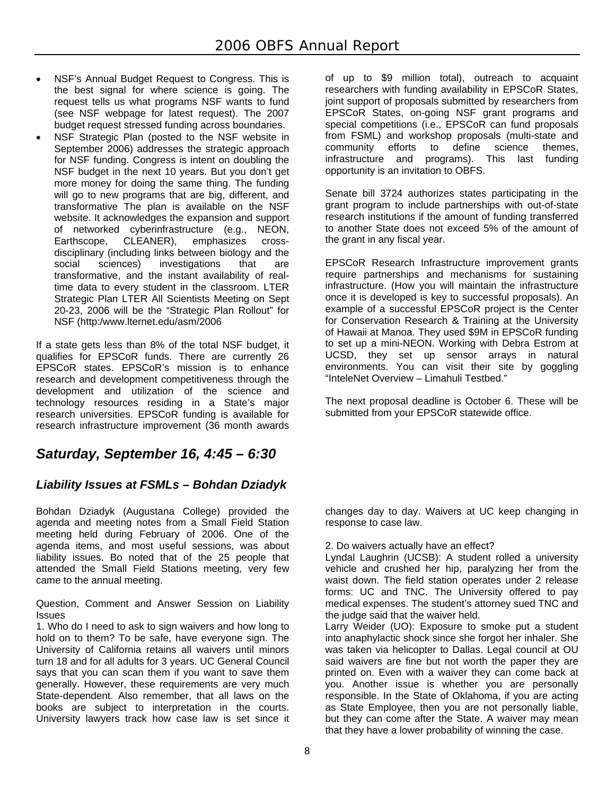- NSF's Annual Budget Request to Congress. This is the best signal for where science is going. The request tells us what programs NSF wants to fund (see NSF webpage for latest request). The 2007 budget request stressed funding across boundaries.
- NSF Strategic Plan (posted to the NSF website in September 2006) addresses the strategic approach for NSF funding. Congress is intent on doubling the NSF budget in the next 10 years. But you don't get more money for doing the same thing. The funding will go to new programs that are big, different, and transformative The plan is available on the NSF website. It acknowledges the expansion and support of networked cyberinfrastructure (e.g., NEON, Earthscope, CLEANER), emphasizes crossdisciplinary (including links between biology and the social sciences) investigations that are transformative, and the instant availability of realtime data to every student in the classroom. LTER Strategic Plan LTER All Scientists Meeting on Sept 20-23, 2006 will be the "Strategic Plan Rollout" for NSF (http:/www.lternet.edu/asm/2006

If a state gets less than 8% of the total NSF budget, it qualifies for EPSCoR funds. There are currently 26 EPSCoR states. EPSCoR's mission is to enhance research and development competitiveness through the development and utilization of the science and technology resources residing in a State's major research universities. EPSCoR funding is available for research infrastructure improvement (36 month awards

## *Saturday, September 16, 4:45 – 6:30*

#### *Liability Issues at FSMLs – Bohdan Dziadyk*

Bohdan Dziadyk (Augustana College) provided the agenda and meeting notes from a Small Field Station meeting held during February of 2006. One of the agenda items, and most useful sessions, was about liability issues. Bo noted that of the 25 people that attended the Small Field Stations meeting, very few came to the annual meeting.

Question, Comment and Answer Session on Liability **Issues** 

1. Who do I need to ask to sign waivers and how long to hold on to them? To be safe, have everyone sign. The University of California retains all waivers until minors turn 18 and for all adults for 3 years. UC General Council says that you can scan them if you want to save them generally. However, these requirements are very much State-dependent. Also remember, that all laws on the books are subject to interpretation in the courts. University lawyers track how case law is set since it

of up to \$9 million total), outreach to acquaint researchers with funding availability in EPSCoR States, joint support of proposals submitted by researchers from EPSCoR States, on-going NSF grant programs and special competitions (i.e., EPSCoR can fund proposals from FSML) and workshop proposals (multi-state and community efforts to define science themes, infrastructure and programs). This last funding opportunity is an invitation to OBFS.

Senate bill 3724 authorizes states participating in the grant program to include partnerships with out-of-state research institutions if the amount of funding transferred to another State does not exceed 5% of the amount of the grant in any fiscal year.

EPSCoR Research Infrastructure improvement grants require partnerships and mechanisms for sustaining infrastructure. (How you will maintain the infrastructure once it is developed is key to successful proposals). An example of a successful EPSCoR project is the Center for Conservation Research & Training at the University of Hawaii at Manoa. They used \$9M in EPSCoR funding to set up a mini-NEON. Working with Debra Estrom at UCSD, they set up sensor arrays in natural environments. You can visit their site by goggling "InteleNet Overview – Limahuli Testbed."

The next proposal deadline is October 6. These will be submitted from your EPSCoR statewide office.

changes day to day. Waivers at UC keep changing in response to case law.

2. Do waivers actually have an effect?

Lyndal Laughrin (UCSB): A student rolled a university vehicle and crushed her hip, paralyzing her from the waist down. The field station operates under 2 release forms: UC and TNC. The University offered to pay medical expenses. The student's attorney sued TNC and the judge said that the waiver held.

Larry Weider (UO): Exposure to smoke put a student into anaphylactic shock since she forgot her inhaler. She was taken via helicopter to Dallas. Legal council at OU said waivers are fine but not worth the paper they are printed on. Even with a waiver they can come back at you. Another issue is whether you are personally responsible. In the State of Oklahoma, if you are acting as State Employee, then you are not personally liable, but they can come after the State. A waiver may mean that they have a lower probability of winning the case.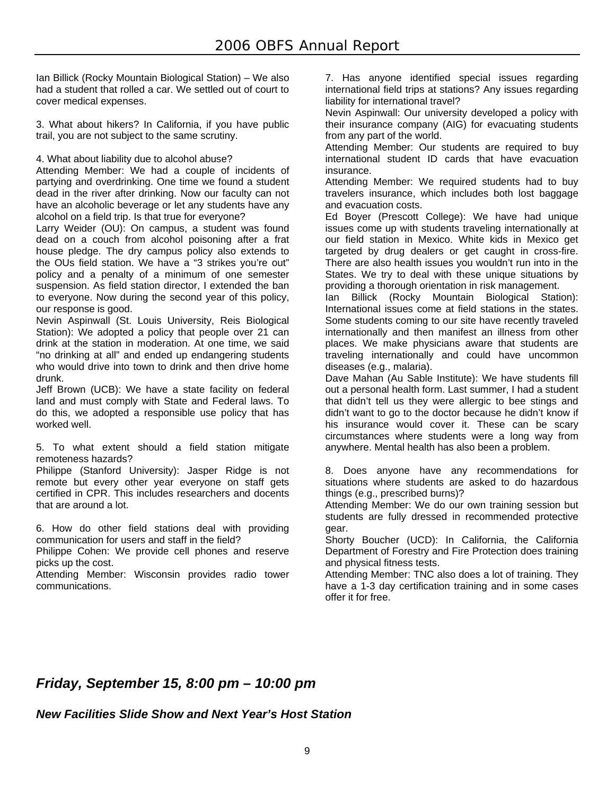Ian Billick (Rocky Mountain Biological Station) – We also had a student that rolled a car. We settled out of court to cover medical expenses.

3. What about hikers? In California, if you have public trail, you are not subject to the same scrutiny.

4. What about liability due to alcohol abuse?

Attending Member: We had a couple of incidents of partying and overdrinking. One time we found a student dead in the river after drinking. Now our faculty can not have an alcoholic beverage or let any students have any alcohol on a field trip. Is that true for everyone?

Larry Weider (OU): On campus, a student was found dead on a couch from alcohol poisoning after a frat house pledge. The dry campus policy also extends to the OUs field station. We have a "3 strikes you're out" policy and a penalty of a minimum of one semester suspension. As field station director, I extended the ban to everyone. Now during the second year of this policy, our response is good.

Nevin Aspinwall (St. Louis University, Reis Biological Station): We adopted a policy that people over 21 can drink at the station in moderation. At one time, we said "no drinking at all" and ended up endangering students who would drive into town to drink and then drive home drunk.

Jeff Brown (UCB): We have a state facility on federal land and must comply with State and Federal laws. To do this, we adopted a responsible use policy that has worked well.

5. To what extent should a field station mitigate remoteness hazards?

Philippe (Stanford University): Jasper Ridge is not remote but every other year everyone on staff gets certified in CPR. This includes researchers and docents that are around a lot.

6. How do other field stations deal with providing communication for users and staff in the field?

Philippe Cohen: We provide cell phones and reserve picks up the cost.

Attending Member: Wisconsin provides radio tower communications.

7. Has anyone identified special issues regarding international field trips at stations? Any issues regarding liability for international travel?

Nevin Aspinwall: Our university developed a policy with their insurance company (AIG) for evacuating students from any part of the world.

Attending Member: Our students are required to buy international student ID cards that have evacuation insurance.

Attending Member: We required students had to buy travelers insurance, which includes both lost baggage and evacuation costs.

Ed Boyer (Prescott College): We have had unique issues come up with students traveling internationally at our field station in Mexico. White kids in Mexico get targeted by drug dealers or get caught in cross-fire. There are also health issues you wouldn't run into in the States. We try to deal with these unique situations by providing a thorough orientation in risk management.

Ian Billick (Rocky Mountain Biological Station): International issues come at field stations in the states. Some students coming to our site have recently traveled internationally and then manifest an illness from other places. We make physicians aware that students are traveling internationally and could have uncommon diseases (e.g., malaria).

Dave Mahan (Au Sable Institute): We have students fill out a personal health form. Last summer, I had a student that didn't tell us they were allergic to bee stings and didn't want to go to the doctor because he didn't know if his insurance would cover it. These can be scary circumstances where students were a long way from anywhere. Mental health has also been a problem.

8. Does anyone have any recommendations for situations where students are asked to do hazardous things (e.g., prescribed burns)?

Attending Member: We do our own training session but students are fully dressed in recommended protective gear.

Shorty Boucher (UCD): In California, the California Department of Forestry and Fire Protection does training and physical fitness tests.

Attending Member: TNC also does a lot of training. They have a 1-3 day certification training and in some cases offer it for free.

## *Friday, September 15, 8:00 pm – 10:00 pm*

*New Facilities Slide Show and Next Year's Host Station*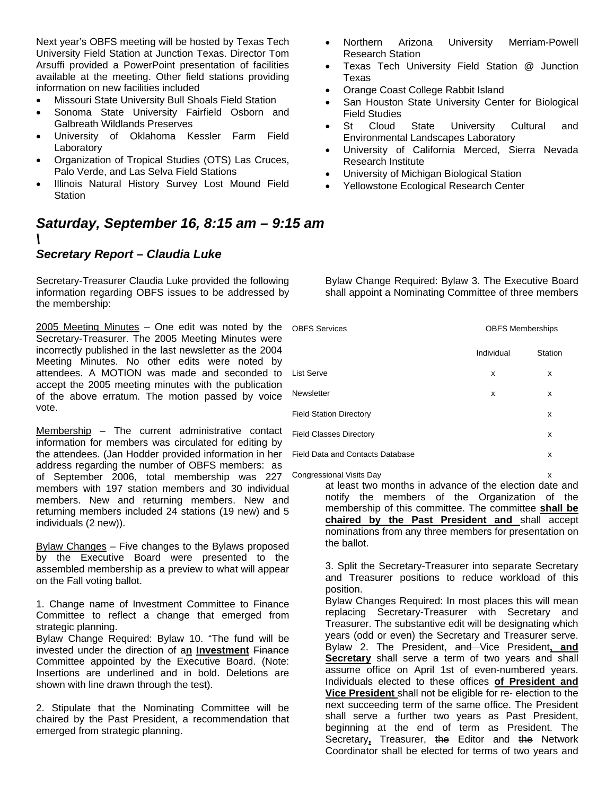Next year's OBFS meeting will be hosted by Texas Tech University Field Station at Junction Texas. Director Tom Arsuffi provided a PowerPoint presentation of facilities available at the meeting. Other field stations providing information on new facilities included

- Missouri State University Bull Shoals Field Station
- Sonoma State University Fairfield Osborn and Galbreath Wildlands Preserves
- University of Oklahoma Kessler Farm Field Laboratory
- Organization of Tropical Studies (OTS) Las Cruces, Palo Verde, and Las Selva Field Stations
- Illinois Natural History Survey Lost Mound Field Station
- *Saturday, September 16, 8:15 am 9:15 am \*

#### *Secretary Report – Claudia Luke*

Secretary-Treasurer Claudia Luke provided the following information regarding OBFS issues to be addressed by the membership:

2005 Meeting Minutes – One edit was noted by the Secretary-Treasurer. The 2005 Meeting Minutes were incorrectly published in the last newsletter as the 2004 Meeting Minutes. No other edits were noted by attendees. A MOTION was made and seconded to accept the 2005 meeting minutes with the publication of the above erratum. The motion passed by voice vote.

Membership – The current administrative contact information for members was circulated for editing by the attendees. (Jan Hodder provided information in her address regarding the number of OBFS members: as of September 2006, total membership was 227 members with 197 station members and 30 individual members. New and returning members. New and returning members included 24 stations (19 new) and 5 individuals (2 new)).

Bylaw Changes – Five changes to the Bylaws proposed by the Executive Board were presented to the assembled membership as a preview to what will appear on the Fall voting ballot.

1. Change name of Investment Committee to Finance Committee to reflect a change that emerged from strategic planning.

Bylaw Change Required: Bylaw 10. "The fund will be invested under the direction of a**n Investment** Finance Committee appointed by the Executive Board. (Note: Insertions are underlined and in bold. Deletions are shown with line drawn through the test).

2. Stipulate that the Nominating Committee will be chaired by the Past President, a recommendation that emerged from strategic planning.

- Northern Arizona University Merriam-Powell Research Station
- Texas Tech University Field Station @ Junction Texas
- Orange Coast College Rabbit Island
- San Houston State University Center for Biological Field Studies
- St Cloud State University Cultural and Environmental Landscapes Laboratory
- University of California Merced, Sierra Nevada Research Institute
- University of Michigan Biological Station
- Yellowstone Ecological Research Center

Bylaw Change Required: Bylaw 3. The Executive Board shall appoint a Nominating Committee of three members

| <b>OBFS Services</b>                    | <b>OBFS Memberships</b> |         |
|-----------------------------------------|-------------------------|---------|
|                                         | Individual              | Station |
| List Serve                              | x                       | x       |
| Newsletter                              | x                       | x       |
| <b>Field Station Directory</b>          |                         | x       |
| <b>Field Classes Directory</b>          |                         | x       |
| <b>Field Data and Contacts Database</b> |                         | x       |
|                                         |                         |         |

at least two months in advance of the election date and notify the members of the Organization of the membership of this committee. The committee **shall be chaired by the Past President and** shall accept nominations from any three members for presentation on the ballot. Congressional Visits Day

> 3. Split the Secretary-Treasurer into separate Secretary and Treasurer positions to reduce workload of this position.

> Bylaw Changes Required: In most places this will mean replacing Secretary-Treasurer with Secretary and Treasurer. The substantive edit will be designating which years (odd or even) the Secretary and Treasurer serve. Bylaw 2. The President, and Vice President**, and Secretary** shall serve a term of two years and shall assume office on April 1st of even-numbered years. Individuals elected to these offices **of President and Vice President** shall not be eligible for re- election to the next succeeding term of the same office. The President shall serve a further two years as Past President, beginning at the end of term as President. The Secretary**,** Treasurer, the Editor and the Network Coordinator shall be elected for terms of two years and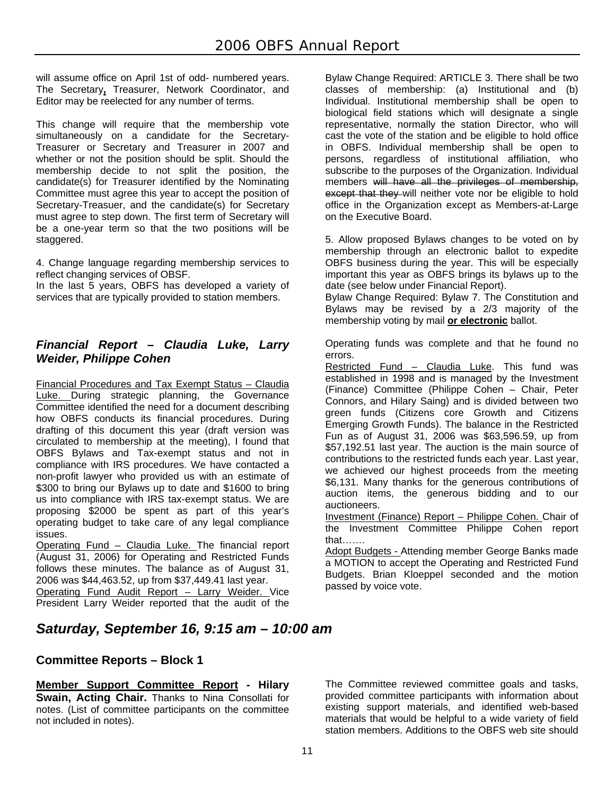will assume office on April 1st of odd- numbered years. The Secretary**,** Treasurer, Network Coordinator, and Editor may be reelected for any number of terms.

This change will require that the membership vote simultaneously on a candidate for the Secretary-Treasurer or Secretary and Treasurer in 2007 and whether or not the position should be split. Should the membership decide to not split the position, the candidate(s) for Treasurer identified by the Nominating Committee must agree this year to accept the position of Secretary-Treasuer, and the candidate(s) for Secretary must agree to step down. The first term of Secretary will be a one-year term so that the two positions will be staggered.

4. Change language regarding membership services to reflect changing services of OBSF.

In the last 5 years, OBFS has developed a variety of services that are typically provided to station members.

#### *Financial Report – Claudia Luke, Larry Weider, Philippe Cohen*

Financial Procedures and Tax Exempt Status – Claudia Luke. During strategic planning, the Governance Committee identified the need for a document describing how OBFS conducts its financial procedures. During drafting of this document this year (draft version was circulated to membership at the meeting), I found that OBFS Bylaws and Tax-exempt status and not in compliance with IRS procedures. We have contacted a non-profit lawyer who provided us with an estimate of \$300 to bring our Bylaws up to date and \$1600 to bring us into compliance with IRS tax-exempt status. We are proposing \$2000 be spent as part of this year's operating budget to take care of any legal compliance issues.

Operating Fund – Claudia Luke. The financial report (August 31, 2006) for Operating and Restricted Funds follows these minutes. The balance as of August 31, 2006 was \$44,463.52, up from \$37,449.41 last year.

Operating Fund Audit Report – Larry Weider. Vice President Larry Weider reported that the audit of the

Bylaw Change Required: ARTICLE 3. There shall be two classes of membership: (a) Institutional and (b) Individual. Institutional membership shall be open to biological field stations which will designate a single representative, normally the station Director, who will cast the vote of the station and be eligible to hold office in OBFS. Individual membership shall be open to persons, regardless of institutional affiliation, who subscribe to the purposes of the Organization. Individual members will have all the privileges of membership, except that they will neither vote nor be eligible to hold office in the Organization except as Members-at-Large on the Executive Board.

5. Allow proposed Bylaws changes to be voted on by membership through an electronic ballot to expedite OBFS business during the year. This will be especially important this year as OBFS brings its bylaws up to the date (see below under Financial Report).

Bylaw Change Required: Bylaw 7. The Constitution and Bylaws may be revised by a 2/3 majority of the membership voting by mail **or electronic** ballot.

Operating funds was complete and that he found no errors.

Restricted Fund - Claudia Luke. This fund was established in 1998 and is managed by the Investment (Finance) Committee (Philippe Cohen – Chair, Peter Connors, and Hilary Saing) and is divided between two green funds (Citizens core Growth and Citizens Emerging Growth Funds). The balance in the Restricted Fun as of August 31, 2006 was \$63,596.59, up from \$57,192.51 last year. The auction is the main source of contributions to the restricted funds each year. Last year, we achieved our highest proceeds from the meeting \$6,131. Many thanks for the generous contributions of auction items, the generous bidding and to our auctioneers.

Investment (Finance) Report – Philippe Cohen. Chair of the Investment Committee Philippe Cohen report that…….

Adopt Budgets - Attending member George Banks made a MOTION to accept the Operating and Restricted Fund Budgets. Brian Kloeppel seconded and the motion passed by voice vote.

#### *Saturday, September 16, 9:15 am – 10:00 am*

#### **Committee Reports – Block 1**

**Member Support Committee Report - Hilary Swain, Acting Chair.** Thanks to Nina Consollati for notes. (List of committee participants on the committee not included in notes).

The Committee reviewed committee goals and tasks, provided committee participants with information about existing support materials, and identified web-based materials that would be helpful to a wide variety of field station members. Additions to the OBFS web site should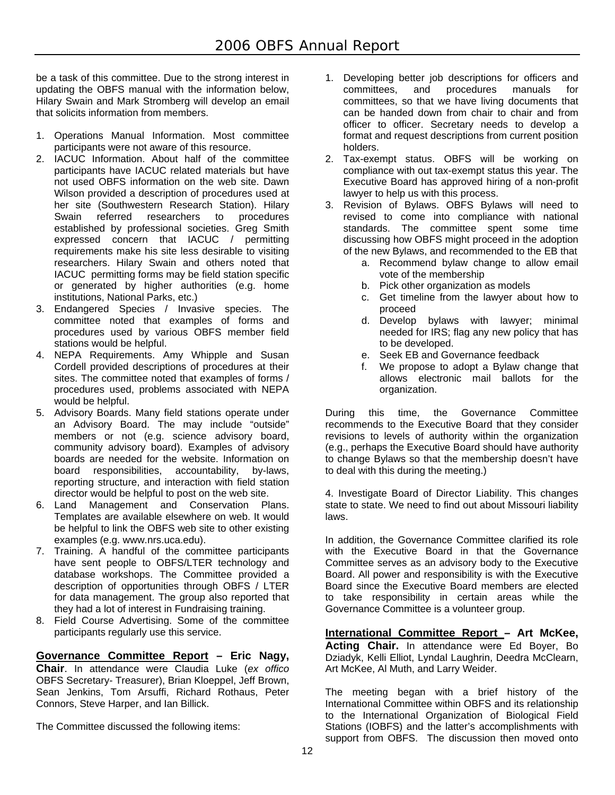be a task of this committee. Due to the strong interest in updating the OBFS manual with the information below, Hilary Swain and Mark Stromberg will develop an email that solicits information from members.

- 1. Operations Manual Information. Most committee participants were not aware of this resource.
- 2. IACUC Information. About half of the committee participants have IACUC related materials but have not used OBFS information on the web site. Dawn Wilson provided a description of procedures used at her site (Southwestern Research Station). Hilary Swain referred researchers to procedures established by professional societies. Greg Smith expressed concern that IACUC / permitting requirements make his site less desirable to visiting researchers. Hilary Swain and others noted that IACUC permitting forms may be field station specific or generated by higher authorities (e.g. home institutions, National Parks, etc.)
- 3. Endangered Species / Invasive species. The committee noted that examples of forms and procedures used by various OBFS member field stations would be helpful.
- 4. NEPA Requirements. Amy Whipple and Susan Cordell provided descriptions of procedures at their sites. The committee noted that examples of forms / procedures used, problems associated with NEPA would be helpful.
- 5. Advisory Boards. Many field stations operate under an Advisory Board. The may include "outside" members or not (e.g. science advisory board, community advisory board). Examples of advisory boards are needed for the website. Information on board responsibilities, accountability, by-laws, reporting structure, and interaction with field station director would be helpful to post on the web site.
- 6. Land Management and Conservation Plans. Templates are available elsewhere on web. It would be helpful to link the OBFS web site to other existing examples (e.g. www.nrs.uca.edu).
- 7. Training. A handful of the committee participants have sent people to OBFS/LTER technology and database workshops. The Committee provided a description of opportunities through OBFS / LTER for data management. The group also reported that they had a lot of interest in Fundraising training.
- 8. Field Course Advertising. Some of the committee participants regularly use this service.

#### **Governance Committee Report – Eric Nagy, Chair**. In attendance were Claudia Luke (*ex offico* OBFS Secretary- Treasurer), Brian Kloeppel, Jeff Brown, Sean Jenkins, Tom Arsuffi, Richard Rothaus, Peter Connors, Steve Harper, and Ian Billick.

The Committee discussed the following items:

- 1. Developing better job descriptions for officers and committees, and procedures manuals for committees, so that we have living documents that can be handed down from chair to chair and from officer to officer. Secretary needs to develop a format and request descriptions from current position holders.
- 2. Tax-exempt status. OBFS will be working on compliance with out tax-exempt status this year. The Executive Board has approved hiring of a non-profit lawyer to help us with this process.
- 3. Revision of Bylaws. OBFS Bylaws will need to revised to come into compliance with national standards. The committee spent some time discussing how OBFS might proceed in the adoption of the new Bylaws, and recommended to the EB that
	- a. Recommend bylaw change to allow email vote of the membership
	- b. Pick other organization as models
	- c. Get timeline from the lawyer about how to proceed
	- d. Develop bylaws with lawyer; minimal needed for IRS; flag any new policy that has to be developed.
	- e. Seek EB and Governance feedback
	- f. We propose to adopt a Bylaw change that allows electronic mail ballots for the organization.

During this time, the Governance Committee recommends to the Executive Board that they consider revisions to levels of authority within the organization (e.g., perhaps the Executive Board should have authority to change Bylaws so that the membership doesn't have to deal with this during the meeting.)

4. Investigate Board of Director Liability. This changes state to state. We need to find out about Missouri liability laws.

In addition, the Governance Committee clarified its role with the Executive Board in that the Governance Committee serves as an advisory body to the Executive Board. All power and responsibility is with the Executive Board since the Executive Board members are elected to take responsibility in certain areas while the Governance Committee is a volunteer group.

**International Committee Report – Art McKee, Acting Chair.** In attendance were Ed Boyer, Bo Dziadyk, Kelli Elliot, Lyndal Laughrin, Deedra McClearn, Art McKee, Al Muth, and Larry Weider.

The meeting began with a brief history of the International Committee within OBFS and its relationship to the International Organization of Biological Field Stations (IOBFS) and the latter's accomplishments with support from OBFS. The discussion then moved onto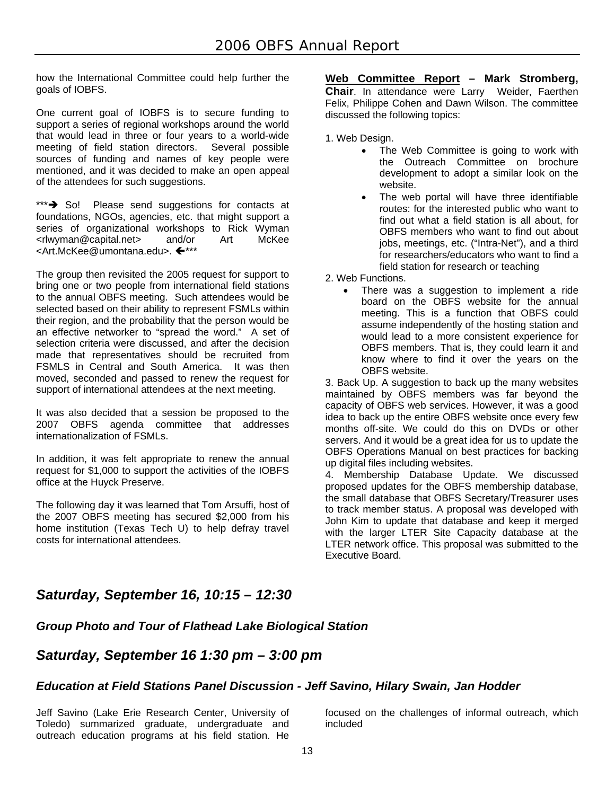how the International Committee could help further the goals of IOBFS.

One current goal of IOBFS is to secure funding to support a series of regional workshops around the world that would lead in three or four years to a world-wide meeting of field station directors. Several possible sources of funding and names of key people were mentioned, and it was decided to make an open appeal of the attendees for such suggestions.

\*\*\*<sup>\*</sup> So! Please send suggestions for contacts at foundations, NGOs, agencies, etc. that might support a series of organizational workshops to Rick Wyman <rlwyman@capital.net> and/or Art McKee <Art.McKee@umontana.edu>. <

The group then revisited the 2005 request for support to bring one or two people from international field stations to the annual OBFS meeting. Such attendees would be selected based on their ability to represent FSMLs within their region, and the probability that the person would be an effective networker to "spread the word." A set of selection criteria were discussed, and after the decision made that representatives should be recruited from FSMLS in Central and South America. It was then moved, seconded and passed to renew the request for support of international attendees at the next meeting.

It was also decided that a session be proposed to the 2007 OBFS agenda committee that addresses internationalization of FSMLs.

In addition, it was felt appropriate to renew the annual request for \$1,000 to support the activities of the IOBFS office at the Huyck Preserve.

The following day it was learned that Tom Arsuffi, host of the 2007 OBFS meeting has secured \$2,000 from his home institution (Texas Tech U) to help defray travel costs for international attendees.

#### **Web Committee Report – Mark Stromberg, Chair**. In attendance were Larry Weider, Faerthen Felix, Philippe Cohen and Dawn Wilson. The committee discussed the following topics:

1. Web Design.

- The Web Committee is going to work with the Outreach Committee on brochure development to adopt a similar look on the website.
- The web portal will have three identifiable routes: for the interested public who want to find out what a field station is all about, for OBFS members who want to find out about jobs, meetings, etc. ("Intra-Net"), and a third for researchers/educators who want to find a field station for research or teaching

2. Web Functions.

 There was a suggestion to implement a ride board on the OBFS website for the annual meeting. This is a function that OBFS could assume independently of the hosting station and would lead to a more consistent experience for OBFS members. That is, they could learn it and know where to find it over the years on the OBFS website.

3. Back Up. A suggestion to back up the many websites maintained by OBFS members was far beyond the capacity of OBFS web services. However, it was a good idea to back up the entire OBFS website once every few months off-site. We could do this on DVDs or other servers. And it would be a great idea for us to update the OBFS Operations Manual on best practices for backing up digital files including websites.

4. Membership Database Update. We discussed proposed updates for the OBFS membership database, the small database that OBFS Secretary/Treasurer uses to track member status. A proposal was developed with John Kim to update that database and keep it merged with the larger LTER Site Capacity database at the LTER network office. This proposal was submitted to the Executive Board.

## *Saturday, September 16, 10:15 – 12:30*

#### *Group Photo and Tour of Flathead Lake Biological Station*

#### *Saturday, September 16 1:30 pm – 3:00 pm*

#### *Education at Field Stations Panel Discussion - Jeff Savino, Hilary Swain, Jan Hodder*

Jeff Savino (Lake Erie Research Center, University of Toledo) summarized graduate, undergraduate and outreach education programs at his field station. He focused on the challenges of informal outreach, which included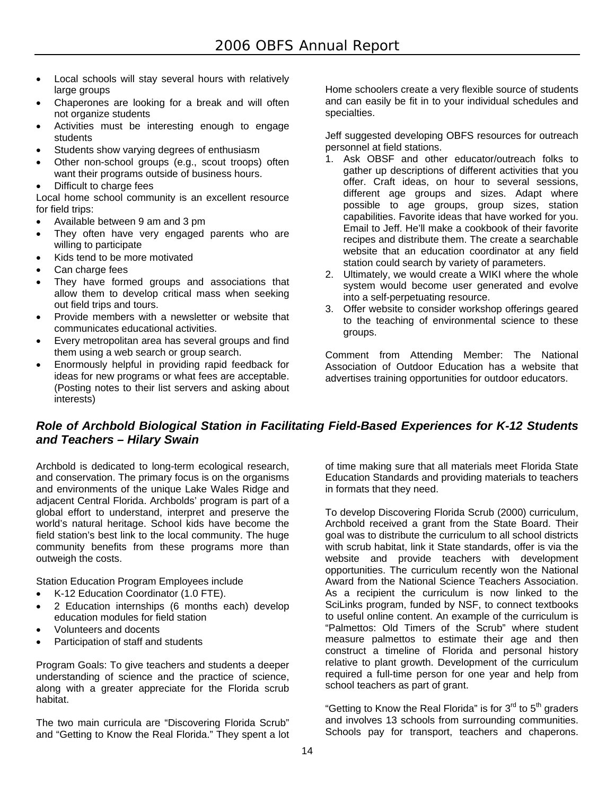- Local schools will stay several hours with relatively large groups
- Chaperones are looking for a break and will often not organize students
- Activities must be interesting enough to engage students
- Students show varying degrees of enthusiasm
- Other non-school groups (e.g., scout troops) often want their programs outside of business hours.
- Difficult to charge fees

Local home school community is an excellent resource for field trips:

- Available between 9 am and 3 pm
- They often have very engaged parents who are willing to participate
- Kids tend to be more motivated
- Can charge fees
- They have formed groups and associations that allow them to develop critical mass when seeking out field trips and tours.
- Provide members with a newsletter or website that communicates educational activities.
- Every metropolitan area has several groups and find them using a web search or group search.
- Enormously helpful in providing rapid feedback for ideas for new programs or what fees are acceptable. (Posting notes to their list servers and asking about interests)

Home schoolers create a very flexible source of students and can easily be fit in to your individual schedules and specialties.

Jeff suggested developing OBFS resources for outreach personnel at field stations.

- 1. Ask OBSF and other educator/outreach folks to gather up descriptions of different activities that you offer. Craft ideas, on hour to several sessions, different age groups and sizes. Adapt where possible to age groups, group sizes, station capabilities. Favorite ideas that have worked for you. Email to Jeff. He'll make a cookbook of their favorite recipes and distribute them. The create a searchable website that an education coordinator at any field station could search by variety of parameters.
- 2. Ultimately, we would create a WIKI where the whole system would become user generated and evolve into a self-perpetuating resource.
- 3. Offer website to consider workshop offerings geared to the teaching of environmental science to these groups.

Comment from Attending Member: The National Association of Outdoor Education has a website that advertises training opportunities for outdoor educators.

#### *Role of Archbold Biological Station in Facilitating Field-Based Experiences for K-12 Students and Teachers – Hilary Swain*

Archbold is dedicated to long-term ecological research, and conservation. The primary focus is on the organisms and environments of the unique Lake Wales Ridge and adjacent Central Florida. Archbolds' program is part of a global effort to understand, interpret and preserve the world's natural heritage. School kids have become the field station's best link to the local community. The huge community benefits from these programs more than outweigh the costs.

Station Education Program Employees include

- K-12 Education Coordinator (1.0 FTE).
- 2 Education internships (6 months each) develop education modules for field station
- Volunteers and docents
- Participation of staff and students

Program Goals: To give teachers and students a deeper understanding of science and the practice of science, along with a greater appreciate for the Florida scrub habitat.

The two main curricula are "Discovering Florida Scrub" and "Getting to Know the Real Florida." They spent a lot

of time making sure that all materials meet Florida State Education Standards and providing materials to teachers in formats that they need.

To develop Discovering Florida Scrub (2000) curriculum, Archbold received a grant from the State Board. Their goal was to distribute the curriculum to all school districts with scrub habitat, link it State standards, offer is via the website and provide teachers with development opportunities. The curriculum recently won the National Award from the National Science Teachers Association. As a recipient the curriculum is now linked to the SciLinks program, funded by NSF, to connect textbooks to useful online content. An example of the curriculum is "Palmettos: Old Timers of the Scrub" where student measure palmettos to estimate their age and then construct a timeline of Florida and personal history relative to plant growth. Development of the curriculum required a full-time person for one year and help from school teachers as part of grant.

"Getting to Know the Real Florida" is for  $3<sup>rd</sup>$  to  $5<sup>th</sup>$  graders and involves 13 schools from surrounding communities. Schools pay for transport, teachers and chaperons.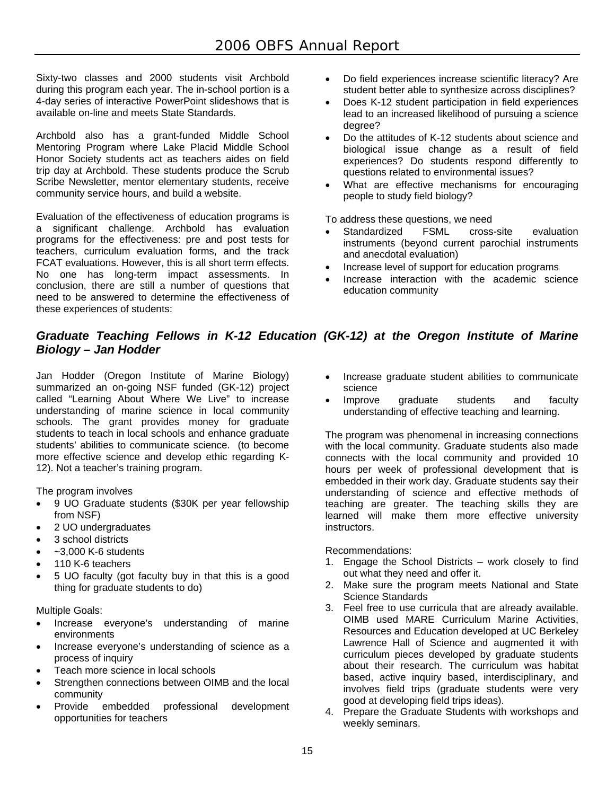Sixty-two classes and 2000 students visit Archbold during this program each year. The in-school portion is a 4-day series of interactive PowerPoint slideshows that is available on-line and meets State Standards.

Archbold also has a grant-funded Middle School Mentoring Program where Lake Placid Middle School Honor Society students act as teachers aides on field trip day at Archbold. These students produce the Scrub Scribe Newsletter, mentor elementary students, receive community service hours, and build a website.

Evaluation of the effectiveness of education programs is a significant challenge. Archbold has evaluation programs for the effectiveness: pre and post tests for teachers, curriculum evaluation forms, and the track FCAT evaluations. However, this is all short term effects. No one has long-term impact assessments. In conclusion, there are still a number of questions that need to be answered to determine the effectiveness of these experiences of students:

- Do field experiences increase scientific literacy? Are student better able to synthesize across disciplines?
- Does K-12 student participation in field experiences lead to an increased likelihood of pursuing a science degree?
- Do the attitudes of K-12 students about science and biological issue change as a result of field experiences? Do students respond differently to questions related to environmental issues?
- What are effective mechanisms for encouraging people to study field biology?

To address these questions, we need

- Standardized FSML cross-site evaluation instruments (beyond current parochial instruments and anecdotal evaluation)
- Increase level of support for education programs
- Increase interaction with the academic science education community

#### *Graduate Teaching Fellows in K-12 Education (GK-12) at the Oregon Institute of Marine Biology – Jan Hodder*

Jan Hodder (Oregon Institute of Marine Biology) summarized an on-going NSF funded (GK-12) project called "Learning About Where We Live" to increase understanding of marine science in local community schools. The grant provides money for graduate students to teach in local schools and enhance graduate students' abilities to communicate science. (to become more effective science and develop ethic regarding K-12). Not a teacher's training program.

The program involves

- 9 UO Graduate students (\$30K per year fellowship from NSF)
- 2 UO undergraduates
- 3 school districts
- $-3,000$  K-6 students
- 110 K-6 teachers
- 5 UO faculty (got faculty buy in that this is a good thing for graduate students to do)

Multiple Goals:

- Increase everyone's understanding of marine environments
- Increase everyone's understanding of science as a process of inquiry
- Teach more science in local schools
- Strengthen connections between OIMB and the local community
- Provide embedded professional development opportunities for teachers
- Increase graduate student abilities to communicate science
- Improve graduate students and faculty understanding of effective teaching and learning.

The program was phenomenal in increasing connections with the local community. Graduate students also made connects with the local community and provided 10 hours per week of professional development that is embedded in their work day. Graduate students say their understanding of science and effective methods of teaching are greater. The teaching skills they are learned will make them more effective university instructors.

#### Recommendations:

- 1. Engage the School Districts work closely to find out what they need and offer it.
- 2. Make sure the program meets National and State Science Standards
- 3. Feel free to use curricula that are already available. OIMB used MARE Curriculum Marine Activities, Resources and Education developed at UC Berkeley Lawrence Hall of Science and augmented it with curriculum pieces developed by graduate students about their research. The curriculum was habitat based, active inquiry based, interdisciplinary, and involves field trips (graduate students were very good at developing field trips ideas).
- 4. Prepare the Graduate Students with workshops and weekly seminars.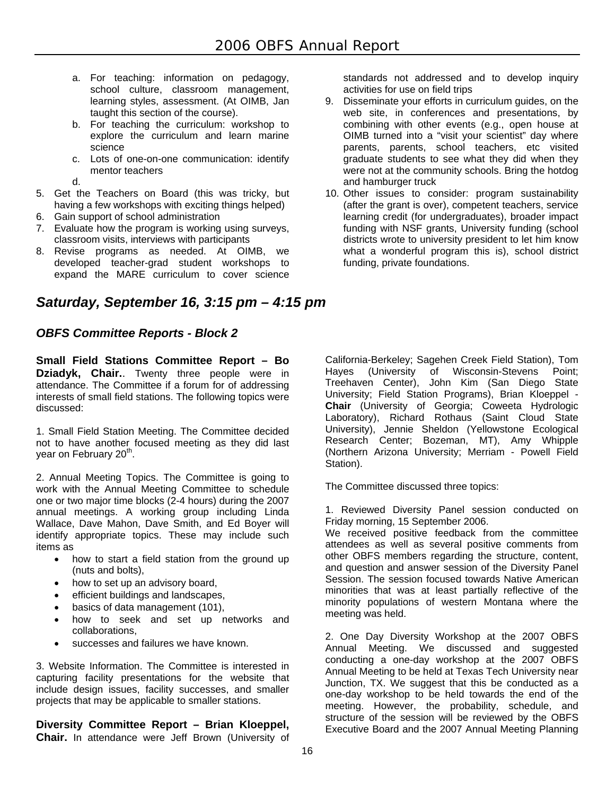- a. For teaching: information on pedagogy, school culture, classroom management, learning styles, assessment. (At OIMB, Jan taught this section of the course).
- b. For teaching the curriculum: workshop to explore the curriculum and learn marine science
- c. Lots of one-on-one communication: identify mentor teachers
- d.
- 5. Get the Teachers on Board (this was tricky, but having a few workshops with exciting things helped)
- 6. Gain support of school administration
- 7. Evaluate how the program is working using surveys, classroom visits, interviews with participants
- 8. Revise programs as needed. At OIMB, we developed teacher-grad student workshops to expand the MARE curriculum to cover science

## *Saturday, September 16, 3:15 pm – 4:15 pm*

#### *OBFS Committee Reports - Block 2*

**Small Field Stations Committee Report – Bo Dziadyk, Chair.**. Twenty three people were in attendance. The Committee if a forum for of addressing interests of small field stations. The following topics were discussed:

1. Small Field Station Meeting. The Committee decided not to have another focused meeting as they did last year on February 20<sup>th</sup>.

2. Annual Meeting Topics. The Committee is going to work with the Annual Meeting Committee to schedule one or two major time blocks (2-4 hours) during the 2007 annual meetings. A working group including Linda Wallace, Dave Mahon, Dave Smith, and Ed Boyer will identify appropriate topics. These may include such items as

- how to start a field station from the ground up (nuts and bolts),
- how to set up an advisory board,
- efficient buildings and landscapes,
- basics of data management (101),
- how to seek and set up networks and collaborations,
- successes and failures we have known.

3. Website Information. The Committee is interested in capturing facility presentations for the website that include design issues, facility successes, and smaller projects that may be applicable to smaller stations.

**Diversity Committee Report – Brian Kloeppel, Chair.** In attendance were Jeff Brown (University of standards not addressed and to develop inquiry activities for use on field trips

- 9. Disseminate your efforts in curriculum guides, on the web site, in conferences and presentations, by combining with other events (e.g., open house at OIMB turned into a "visit your scientist" day where parents, parents, school teachers, etc visited graduate students to see what they did when they were not at the community schools. Bring the hotdog and hamburger truck
- 10. Other issues to consider: program sustainability (after the grant is over), competent teachers, service learning credit (for undergraduates), broader impact funding with NSF grants, University funding (school districts wrote to university president to let him know what a wonderful program this is), school district funding, private foundations.

California-Berkeley; Sagehen Creek Field Station), Tom Hayes (University of Wisconsin-Stevens Point; Treehaven Center), John Kim (San Diego State University; Field Station Programs), Brian Kloeppel - **Chair** (University of Georgia; Coweeta Hydrologic Laboratory), Richard Rothaus (Saint Cloud State University), Jennie Sheldon (Yellowstone Ecological Research Center; Bozeman, MT), Amy Whipple (Northern Arizona University; Merriam - Powell Field Station).

The Committee discussed three topics:

1. Reviewed Diversity Panel session conducted on Friday morning, 15 September 2006.

We received positive feedback from the committee attendees as well as several positive comments from other OBFS members regarding the structure, content, and question and answer session of the Diversity Panel Session. The session focused towards Native American minorities that was at least partially reflective of the minority populations of western Montana where the meeting was held.

2. One Day Diversity Workshop at the 2007 OBFS Annual Meeting. We discussed and suggested conducting a one-day workshop at the 2007 OBFS Annual Meeting to be held at Texas Tech University near Junction, TX. We suggest that this be conducted as a one-day workshop to be held towards the end of the meeting. However, the probability, schedule, and structure of the session will be reviewed by the OBFS Executive Board and the 2007 Annual Meeting Planning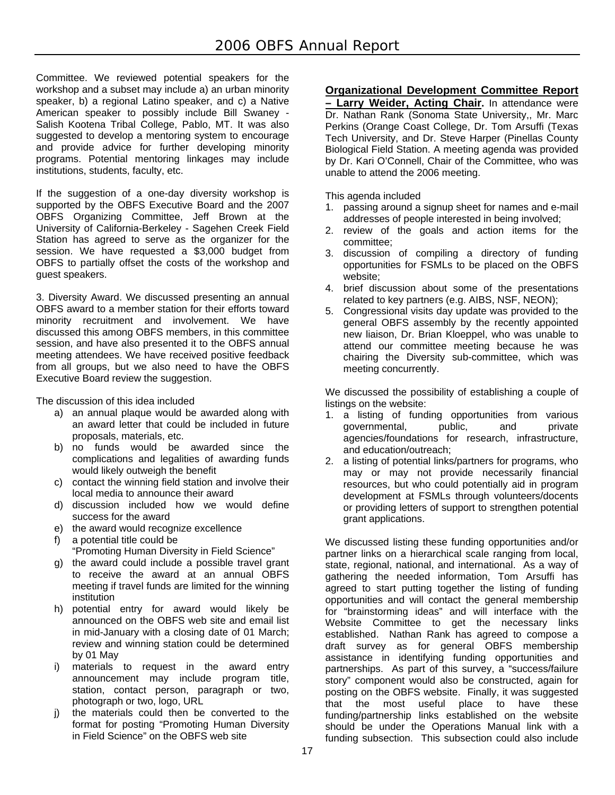Committee. We reviewed potential speakers for the workshop and a subset may include a) an urban minority speaker, b) a regional Latino speaker, and c) a Native American speaker to possibly include Bill Swaney - Salish Kootena Tribal College, Pablo, MT. It was also suggested to develop a mentoring system to encourage and provide advice for further developing minority programs. Potential mentoring linkages may include institutions, students, faculty, etc.

If the suggestion of a one-day diversity workshop is supported by the OBFS Executive Board and the 2007 OBFS Organizing Committee, Jeff Brown at the University of California-Berkeley - Sagehen Creek Field Station has agreed to serve as the organizer for the session. We have requested a \$3,000 budget from OBFS to partially offset the costs of the workshop and guest speakers.

3. Diversity Award. We discussed presenting an annual OBFS award to a member station for their efforts toward minority recruitment and involvement. We have discussed this among OBFS members, in this committee session, and have also presented it to the OBFS annual meeting attendees. We have received positive feedback from all groups, but we also need to have the OBFS Executive Board review the suggestion.

The discussion of this idea included

- a) an annual plaque would be awarded along with an award letter that could be included in future proposals, materials, etc.
- b) no funds would be awarded since the complications and legalities of awarding funds would likely outweigh the benefit
- c) contact the winning field station and involve their local media to announce their award
- d) discussion included how we would define success for the award
- e) the award would recognize excellence
- f) a potential title could be
- "Promoting Human Diversity in Field Science"
- g) the award could include a possible travel grant to receive the award at an annual OBFS meeting if travel funds are limited for the winning institution
- h) potential entry for award would likely be announced on the OBFS web site and email list in mid-January with a closing date of 01 March; review and winning station could be determined by 01 May
- i) materials to request in the award entry announcement may include program title, station, contact person, paragraph or two, photograph or two, logo, URL
- j) the materials could then be converted to the format for posting "Promoting Human Diversity in Field Science" on the OBFS web site

#### **Organizational Development Committee Report**

**– Larry Weider, Acting Chair.** In attendance were Dr. Nathan Rank (Sonoma State University,, Mr. Marc Perkins (Orange Coast College, Dr. Tom Arsuffi (Texas Tech University, and Dr. Steve Harper (Pinellas County Biological Field Station. A meeting agenda was provided by Dr. Kari O'Connell, Chair of the Committee, who was unable to attend the 2006 meeting.

This agenda included

- 1. passing around a signup sheet for names and e-mail addresses of people interested in being involved;
- 2. review of the goals and action items for the committee;
- 3. discussion of compiling a directory of funding opportunities for FSMLs to be placed on the OBFS website;
- 4. brief discussion about some of the presentations related to key partners (e.g. AIBS, NSF, NEON);
- 5. Congressional visits day update was provided to the general OBFS assembly by the recently appointed new liaison, Dr. Brian Kloeppel, who was unable to attend our committee meeting because he was chairing the Diversity sub-committee, which was meeting concurrently.

We discussed the possibility of establishing a couple of listings on the website:

- 1. a listing of funding opportunities from various governmental, public, and private agencies/foundations for research, infrastructure, and education/outreach;
- 2. a listing of potential links/partners for programs, who may or may not provide necessarily financial resources, but who could potentially aid in program development at FSMLs through volunteers/docents or providing letters of support to strengthen potential grant applications.

We discussed listing these funding opportunities and/or partner links on a hierarchical scale ranging from local. state, regional, national, and international. As a way of gathering the needed information, Tom Arsuffi has agreed to start putting together the listing of funding opportunities and will contact the general membership for "brainstorming ideas" and will interface with the Website Committee to get the necessary links established. Nathan Rank has agreed to compose a draft survey as for general OBFS membership assistance in identifying funding opportunities and partnerships. As part of this survey, a "success/failure story" component would also be constructed, again for posting on the OBFS website. Finally, it was suggested that the most useful place to have these funding/partnership links established on the website should be under the Operations Manual link with a funding subsection. This subsection could also include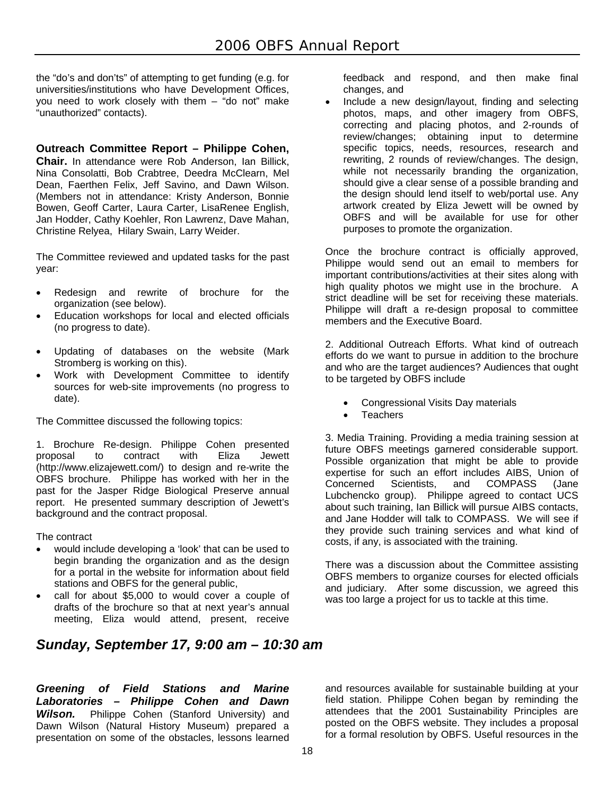the "do's and don'ts" of attempting to get funding (e.g. for universities/institutions who have Development Offices, you need to work closely with them – "do not" make "unauthorized" contacts).

**Outreach Committee Report – Philippe Cohen, Chair.** In attendance were Rob Anderson, Ian Billick, Nina Consolatti, Bob Crabtree, Deedra McClearn, Mel Dean, Faerthen Felix, Jeff Savino, and Dawn Wilson. (Members not in attendance: Kristy Anderson, Bonnie Bowen, Geoff Carter, Laura Carter, LisaRenee English, Jan Hodder, Cathy Koehler, Ron Lawrenz, Dave Mahan, Christine Relyea, Hilary Swain, Larry Weider.

The Committee reviewed and updated tasks for the past year:

- Redesign and rewrite of brochure for the organization (see below).
- Education workshops for local and elected officials (no progress to date).
- Updating of databases on the website (Mark Stromberg is working on this).
- Work with Development Committee to identify sources for web-site improvements (no progress to date).

The Committee discussed the following topics:

1. Brochure Re-design. Philippe Cohen presented proposal to contract with Eliza Jewett (http://www.elizajewett.com/) to design and re-write the OBFS brochure. Philippe has worked with her in the past for the Jasper Ridge Biological Preserve annual report. He presented summary description of Jewett's background and the contract proposal.

The contract

- would include developing a 'look' that can be used to begin branding the organization and as the design for a portal in the website for information about field stations and OBFS for the general public,
- call for about \$5,000 to would cover a couple of drafts of the brochure so that at next year's annual meeting, Eliza would attend, present, receive

## *Sunday, September 17, 9:00 am – 10:30 am*

feedback and respond, and then make final changes, and

 Include a new design/layout, finding and selecting photos, maps, and other imagery from OBFS, correcting and placing photos, and 2-rounds of review/changes; obtaining input to determine specific topics, needs, resources, research and rewriting, 2 rounds of review/changes. The design, while not necessarily branding the organization, should give a clear sense of a possible branding and the design should lend itself to web/portal use. Any artwork created by Eliza Jewett will be owned by OBFS and will be available for use for other purposes to promote the organization.

Once the brochure contract is officially approved, Philippe would send out an email to members for important contributions/activities at their sites along with high quality photos we might use in the brochure. A strict deadline will be set for receiving these materials. Philippe will draft a re-design proposal to committee members and the Executive Board.

2. Additional Outreach Efforts. What kind of outreach efforts do we want to pursue in addition to the brochure and who are the target audiences? Audiences that ought to be targeted by OBFS include

- Congressional Visits Day materials
- **Teachers**

3. Media Training. Providing a media training session at future OBFS meetings garnered considerable support. Possible organization that might be able to provide expertise for such an effort includes AIBS, Union of Concerned Scientists, and COMPASS (Jane Lubchencko group). Philippe agreed to contact UCS about such training, Ian Billick will pursue AIBS contacts, and Jane Hodder will talk to COMPASS. We will see if they provide such training services and what kind of costs, if any, is associated with the training.

There was a discussion about the Committee assisting OBFS members to organize courses for elected officials and judiciary. After some discussion, we agreed this was too large a project for us to tackle at this time.

*Greening of Field Stations and Marine Laboratories – Philippe Cohen and Dawn Wilson.* Philippe Cohen (Stanford University) and Dawn Wilson (Natural History Museum) prepared a presentation on some of the obstacles, lessons learned

and resources available for sustainable building at your field station. Philippe Cohen began by reminding the attendees that the 2001 Sustainability Principles are posted on the OBFS website. They includes a proposal for a formal resolution by OBFS. Useful resources in the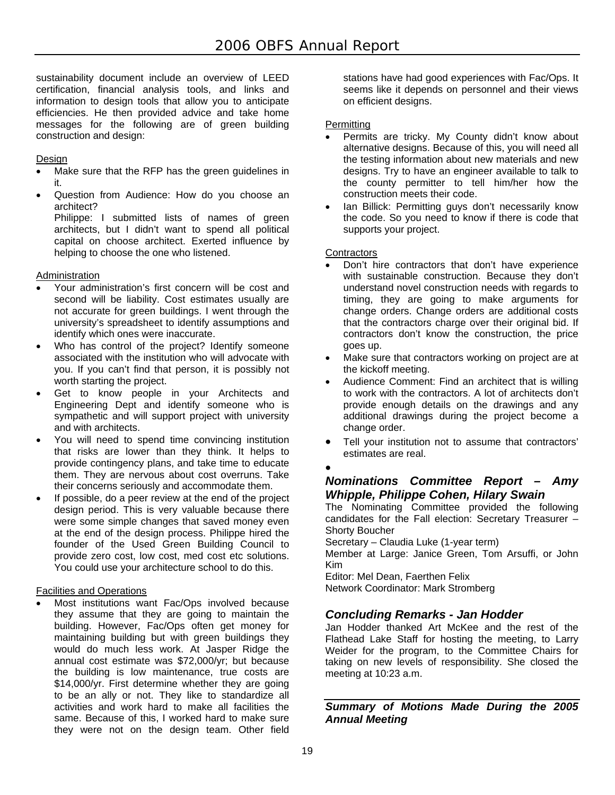sustainability document include an overview of LEED certification, financial analysis tools, and links and information to design tools that allow you to anticipate efficiencies. He then provided advice and take home messages for the following are of green building construction and design:

#### Design

- Make sure that the RFP has the green guidelines in it.
- Question from Audience: How do you choose an architect?

Philippe: I submitted lists of names of green architects, but I didn't want to spend all political capital on choose architect. Exerted influence by helping to choose the one who listened.

#### Administration

- Your administration's first concern will be cost and second will be liability. Cost estimates usually are not accurate for green buildings. I went through the university's spreadsheet to identify assumptions and identify which ones were inaccurate.
- Who has control of the project? Identify someone associated with the institution who will advocate with you. If you can't find that person, it is possibly not worth starting the project.
- Get to know people in your Architects and Engineering Dept and identify someone who is sympathetic and will support project with university and with architects.
- You will need to spend time convincing institution that risks are lower than they think. It helps to provide contingency plans, and take time to educate them. They are nervous about cost overruns. Take their concerns seriously and accommodate them.
- If possible, do a peer review at the end of the project design period. This is very valuable because there were some simple changes that saved money even at the end of the design process. Philippe hired the founder of the Used Green Building Council to provide zero cost, low cost, med cost etc solutions. You could use your architecture school to do this.

#### Facilities and Operations

 Most institutions want Fac/Ops involved because they assume that they are going to maintain the building. However, Fac/Ops often get money for maintaining building but with green buildings they would do much less work. At Jasper Ridge the annual cost estimate was \$72,000/yr; but because the building is low maintenance, true costs are \$14,000/yr. First determine whether they are going to be an ally or not. They like to standardize all activities and work hard to make all facilities the same. Because of this, I worked hard to make sure they were not on the design team. Other field

stations have had good experiences with Fac/Ops. It seems like it depends on personnel and their views on efficient designs.

#### **Permitting**

- Permits are tricky. My County didn't know about alternative designs. Because of this, you will need all the testing information about new materials and new designs. Try to have an engineer available to talk to the county permitter to tell him/her how the construction meets their code.
- Ian Billick: Permitting guys don't necessarily know the code. So you need to know if there is code that supports your project.

#### **Contractors**

- Don't hire contractors that don't have experience with sustainable construction. Because they don't understand novel construction needs with regards to timing, they are going to make arguments for change orders. Change orders are additional costs that the contractors charge over their original bid. If contractors don't know the construction, the price goes up.
- Make sure that contractors working on project are at the kickoff meeting.
- Audience Comment: Find an architect that is willing to work with the contractors. A lot of architects don't provide enough details on the drawings and any additional drawings during the project become a change order.
- Tell your institution not to assume that contractors' estimates are real.
- $\bullet$

#### *Nominations Committee Report – Amy Whipple, Philippe Cohen, Hilary Swain*

The Nominating Committee provided the following candidates for the Fall election: Secretary Treasurer – Shorty Boucher Secretary – Claudia Luke (1-year term) Member at Large: Janice Green, Tom Arsuffi, or John Kim Editor: Mel Dean, Faerthen Felix

Network Coordinator: Mark Stromberg

#### *Concluding Remarks - Jan Hodder*

Jan Hodder thanked Art McKee and the rest of the Flathead Lake Staff for hosting the meeting, to Larry Weider for the program, to the Committee Chairs for taking on new levels of responsibility. She closed the meeting at 10:23 a.m.

*Summary of Motions Made During the 2005 Annual Meeting*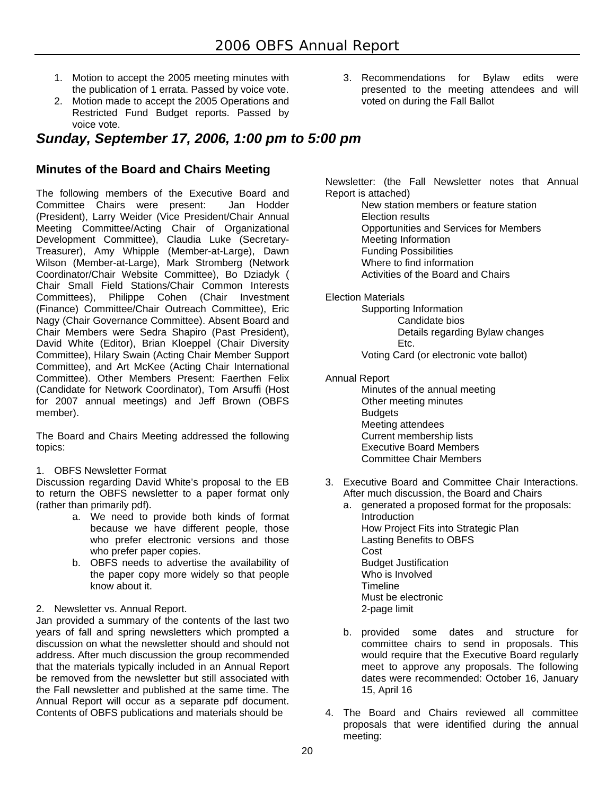- 1. Motion to accept the 2005 meeting minutes with the publication of 1 errata. Passed by voice vote.
- 2. Motion made to accept the 2005 Operations and Restricted Fund Budget reports. Passed by voice vote.

*Sunday, September 17, 2006, 1:00 pm to 5:00 pm* 

#### **Minutes of the Board and Chairs Meeting**

The following members of the Executive Board and Committee Chairs were present: Jan Hodder (President), Larry Weider (Vice President/Chair Annual Meeting Committee/Acting Chair of Organizational Development Committee), Claudia Luke (Secretary-Treasurer), Amy Whipple (Member-at-Large), Dawn Wilson (Member-at-Large), Mark Stromberg (Network Coordinator/Chair Website Committee), Bo Dziadyk ( Chair Small Field Stations/Chair Common Interests Committees), Philippe Cohen (Chair Investment (Finance) Committee/Chair Outreach Committee), Eric Nagy (Chair Governance Committee). Absent Board and Chair Members were Sedra Shapiro (Past President), David White (Editor), Brian Kloeppel (Chair Diversity Committee), Hilary Swain (Acting Chair Member Support Committee), and Art McKee (Acting Chair International Committee). Other Members Present: Faerthen Felix (Candidate for Network Coordinator), Tom Arsuffi (Host for 2007 annual meetings) and Jeff Brown (OBFS member).

The Board and Chairs Meeting addressed the following topics:

1. OBFS Newsletter Format

Discussion regarding David White's proposal to the EB to return the OBFS newsletter to a paper format only (rather than primarily pdf).

- a. We need to provide both kinds of format because we have different people, those who prefer electronic versions and those who prefer paper copies.
- b. OBFS needs to advertise the availability of the paper copy more widely so that people know about it.
- 2. Newsletter vs. Annual Report.

Jan provided a summary of the contents of the last two years of fall and spring newsletters which prompted a discussion on what the newsletter should and should not address. After much discussion the group recommended that the materials typically included in an Annual Report be removed from the newsletter but still associated with the Fall newsletter and published at the same time. The Annual Report will occur as a separate pdf document. Contents of OBFS publications and materials should be

3. Recommendations for Bylaw edits were presented to the meeting attendees and will voted on during the Fall Ballot

Newsletter: (the Fall Newsletter notes that Annual Report is attached)

 New station members or feature station Election results Opportunities and Services for Members Meeting Information Funding Possibilities Where to find information Activities of the Board and Chairs

Election Materials

 Supporting Information Candidate bios Details regarding Bylaw changes Etc.

Voting Card (or electronic vote ballot)

Annual Report

 Minutes of the annual meeting Other meeting minutes **Budgets**  Meeting attendees Current membership lists Executive Board Members Committee Chair Members

- 3. Executive Board and Committee Chair Interactions. After much discussion, the Board and Chairs
	- a. generated a proposed format for the proposals: **Introduction**  How Project Fits into Strategic Plan Lasting Benefits to OBFS Cost Budget Justification Who is Involved Timeline Must be electronic 2-page limit
	- b. provided some dates and structure for committee chairs to send in proposals. This would require that the Executive Board regularly meet to approve any proposals. The following dates were recommended: October 16, January 15, April 16
- 4. The Board and Chairs reviewed all committee proposals that were identified during the annual meeting: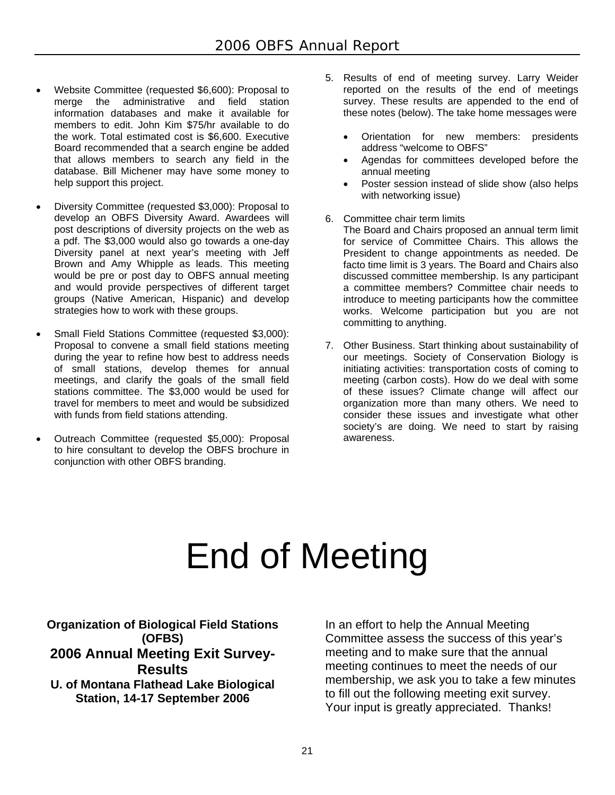- Website Committee (requested \$6,600): Proposal to merge the administrative and field station information databases and make it available for members to edit. John Kim \$75/hr available to do the work. Total estimated cost is \$6,600. Executive Board recommended that a search engine be added that allows members to search any field in the database. Bill Michener may have some money to help support this project.
- Diversity Committee (requested \$3,000): Proposal to develop an OBFS Diversity Award. Awardees will post descriptions of diversity projects on the web as a pdf. The \$3,000 would also go towards a one-day Diversity panel at next year's meeting with Jeff Brown and Amy Whipple as leads. This meeting would be pre or post day to OBFS annual meeting and would provide perspectives of different target groups (Native American, Hispanic) and develop strategies how to work with these groups.
- Small Field Stations Committee (requested \$3,000): Proposal to convene a small field stations meeting during the year to refine how best to address needs of small stations, develop themes for annual meetings, and clarify the goals of the small field stations committee. The \$3,000 would be used for travel for members to meet and would be subsidized with funds from field stations attending.
- Outreach Committee (requested \$5,000): Proposal to hire consultant to develop the OBFS brochure in conjunction with other OBFS branding.
- 5. Results of end of meeting survey. Larry Weider reported on the results of the end of meetings survey. These results are appended to the end of these notes (below). The take home messages were
	- Orientation for new members: presidents address "welcome to OBFS"
	- Agendas for committees developed before the annual meeting
	- Poster session instead of slide show (also helps with networking issue)
- 6. Committee chair term limits
	- The Board and Chairs proposed an annual term limit for service of Committee Chairs. This allows the President to change appointments as needed. De facto time limit is 3 years. The Board and Chairs also discussed committee membership. Is any participant a committee members? Committee chair needs to introduce to meeting participants how the committee works. Welcome participation but you are not committing to anything.
- 7. Other Business. Start thinking about sustainability of our meetings. Society of Conservation Biology is initiating activities: transportation costs of coming to meeting (carbon costs). How do we deal with some of these issues? Climate change will affect our organization more than many others. We need to consider these issues and investigate what other society's are doing. We need to start by raising awareness.

# End of Meeting

**Organization of Biological Field Stations (OFBS) 2006 Annual Meeting Exit Survey-Results U. of Montana Flathead Lake Biological Station, 14-17 September 2006** 

In an effort to help the Annual Meeting Committee assess the success of this year's meeting and to make sure that the annual meeting continues to meet the needs of our membership, we ask you to take a few minutes to fill out the following meeting exit survey. Your input is greatly appreciated. Thanks!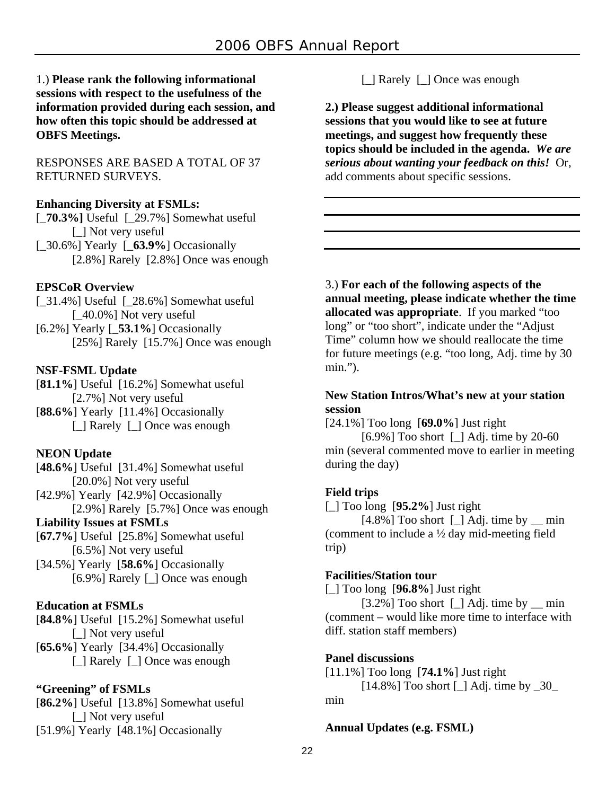#### 1.) **Please rank the following informational sessions with respect to the usefulness of the information provided during each session, and how often this topic should be addressed at OBFS Meetings.**

RESPONSES ARE BASED A TOTAL OF 37 RETURNED SURVEYS.

#### **Enhancing Diversity at FSMLs:**

- [\_**70.3%]** Useful [\_29.7%] Somewhat useful [\_] Not very useful
- [\_30.6%] Yearly [\_**63.9%**] Occasionally [2.8%] Rarely [2.8%] Once was enough

#### **EPSCoR Overview**

- [\_31.4%] Useful [\_28.6%] Somewhat useful [\_40.0%] Not very useful
- [6.2%] Yearly [\_**53.1%**] Occasionally [25%] Rarely [15.7%] Once was enough

#### **NSF-FSML Update**

[**81.1%**] Useful [16.2%] Somewhat useful [2.7%] Not very useful [**88.6%**] Yearly [11.4%] Occasionally

[  $\Box$  Rarely [  $\Box$  Once was enough

#### **NEON Update**

[**48.6%**] Useful [31.4%] Somewhat useful [20.0%] Not very useful

[42.9%] Yearly [42.9%] Occasionally [2.9%] Rarely [5.7%] Once was enough

#### **Liability Issues at FSMLs**

[**67.7%**] Useful [25.8%] Somewhat useful [6.5%] Not very useful

[34.5%] Yearly [**58.6%**] Occasionally [6.9%] Rarely [\_] Once was enough

#### **Education at FSMLs**

[**84.8%**] Useful [15.2%] Somewhat useful [  $\Box$  Not very useful

[**65.6%**] Yearly [34.4%] Occasionally [\_] Rarely [\_] Once was enough

#### **"Greening" of FSMLs**

[**86.2%**] Useful [13.8%] Somewhat useful [\_] Not very useful [51.9%] Yearly [48.1%] Occasionally

[\_] Rarely [\_] Once was enough

**2.) Please suggest additional informational sessions that you would like to see at future meetings, and suggest how frequently these topics should be included in the agenda.** *We are serious about wanting your feedback on this!* Or, add comments about specific sessions.

3.) **For each of the following aspects of the annual meeting, please indicate whether the time allocated was appropriate**. If you marked "too long" or "too short", indicate under the "Adjust Time" column how we should reallocate the time for future meetings (e.g. "too long, Adj. time by 30 min.").

#### **New Station Intros/What's new at your station session**

[24.1%] Too long [**69.0%**] Just right

[6.9%] Too short [] Adj. time by 20-60 min (several commented move to earlier in meeting during the day)

#### **Field trips**

[\_] Too long [**95.2%**] Just right

 $[4.8\%]$  Too short  $\Box$  Adj. time by  $\Box$  min (comment to include a ½ day mid-meeting field trip)

#### **Facilities/Station tour**

[\_] Too long [**96.8%**] Just right

 $[3.2\%]$  Too short  $[$   $]$  Adj. time by  $\quad$  min (comment – would like more time to interface with diff. station staff members)

#### **Panel discussions**

[11.1%] Too long [**74.1%**] Just right  $[14.8\%]$  Too short  $\lbrack \rbrack$  Adj. time by  $\lbrack 30 \rbrack$ min

#### **Annual Updates (e.g. FSML)**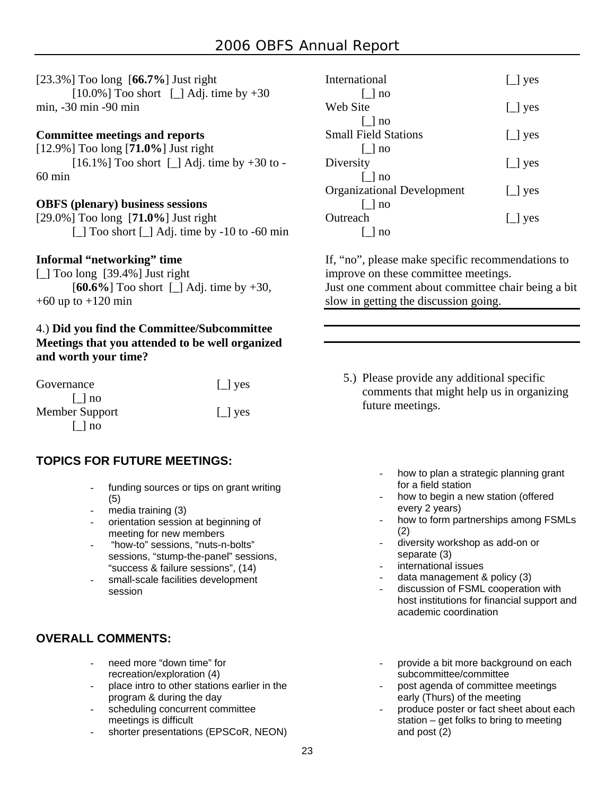#### [23.3%] Too long [**66.7%**] Just right

 $[10.0\%]$  Too short  $\lbrack \quad \rbrack$  Adj. time by +30 min, -30 min -90 min

#### **Committee meetings and reports**

[12.9%] Too long [**71.0%**] Just right  $[16.1\%]$  Too short  $\lfloor \rfloor$  Adj. time by +30 to -60 min

#### **OBFS (plenary) business sessions**

[29.0%] Too long [**71.0%**] Just right [\_] Too short [\_] Adj. time by -10 to -60 min

#### **Informal "networking" time**

 $\lceil$  1 Too long [39.4%] Just right [**60.6%**] Too short [\_] Adj. time by +30,  $+60$  up to  $+120$  min

#### 4.) **Did you find the Committee/Subcommittee Meetings that you attended to be well organized and worth your time?**

| Governance     | $\Box$ yes |
|----------------|------------|
| $\vert$   no   |            |
| Member Support | $\Box$ yes |
| $\lceil$   no  |            |

#### **TOPICS FOR FUTURE MEETINGS:**

- funding sources or tips on grant writing (5)
- media training  $(3)$
- orientation session at beginning of meeting for new members
- "how-to" sessions, "nuts-n-bolts" sessions, "stump-the-panel" sessions, "success & failure sessions", (14)
- small-scale facilities development session

#### **OVERALL COMMENTS:**

- need more "down time" for recreation/exploration (4)
- place intro to other stations earlier in the program & during the day
- scheduling concurrent committee meetings is difficult
- shorter presentations (EPSCoR, NEON)

| International                     | $\left[\right]$ yes   |
|-----------------------------------|-----------------------|
| $\vert$   no                      |                       |
| Web Site                          | $\lfloor$ yes         |
| $\lceil$   no                     |                       |
| <b>Small Field Stations</b>       | $\lfloor \rfloor$ yes |
| $\lceil$   no                     |                       |
| Diversity                         | $\lfloor \rfloor$ yes |
| $\lceil \,\,\rceil$ no            |                       |
| <b>Organizational Development</b> | $\lfloor \rfloor$ yes |
| $\lfloor$ no                      |                       |
| Outreach                          | $\lfloor$ yes         |
| l Ino                             |                       |

If, "no", please make specific recommendations to improve on these committee meetings. Just one comment about committee chair being a bit

slow in getting the discussion going.

- 5.) Please provide any additional specific comments that might help us in organizing future meetings.
	- how to plan a strategic planning grant for a field station
	- how to begin a new station (offered every 2 years)
	- how to form partnerships among FSMLs (2)
		- diversity workshop as add-on or separate (3)
	- international issues
	- data management & policy (3)
	- discussion of FSML cooperation with host institutions for financial support and academic coordination
	- provide a bit more background on each subcommittee/committee
	- post agenda of committee meetings early (Thurs) of the meeting
	- produce poster or fact sheet about each station – get folks to bring to meeting and post (2)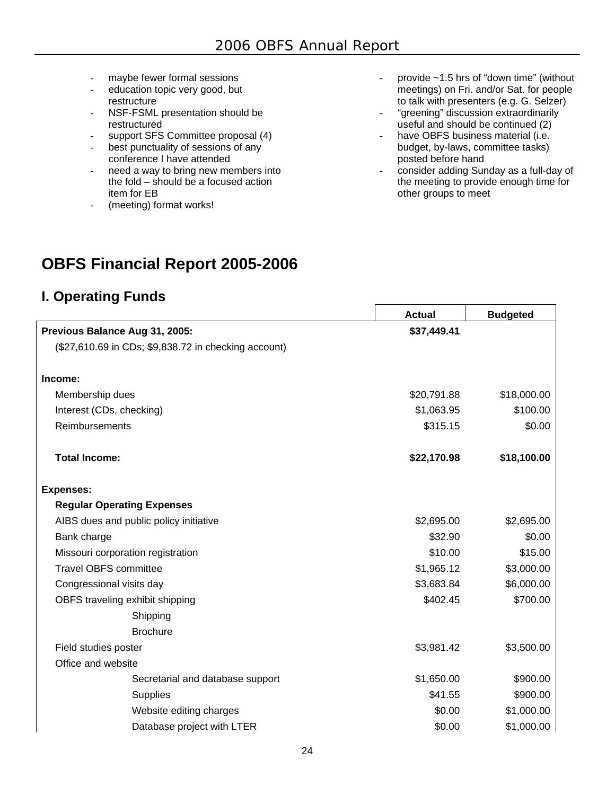- maybe fewer formal sessions
- education topic very good, but restructure
- NSF-FSML presentation should be restructured
- support SFS Committee proposal (4)
- best punctuality of sessions of any conference I have attended
- need a way to bring new members into the fold  $-$  should be a focused action item for EB
- (meeting) format works!
- provide  $\sim$  1.5 hrs of "down time" (without meetings) on Fri. and/or Sat. for people to talk with presenters (e.g. G. Selzer)
- "greening" discussion extraordinarily useful and should be continued (2)
- have OBFS business material (i.e. budget, by-laws, committee tasks) posted before hand
- consider adding Sunday as a full-day of the meeting to provide enough time for other groups to meet

## **OBFS Financial Report 2005-2006**

## **I. Operating Funds**

|                                                      | <b>Actual</b> | <b>Budgeted</b> |
|------------------------------------------------------|---------------|-----------------|
| Previous Balance Aug 31, 2005:                       | \$37,449.41   |                 |
| (\$27,610.69 in CDs; \$9,838.72 in checking account) |               |                 |
| Income:                                              |               |                 |
| Membership dues                                      | \$20,791.88   | \$18,000.00     |
| Interest (CDs, checking)                             | \$1,063.95    | \$100.00        |
| Reimbursements                                       | \$315.15      | \$0.00          |
| <b>Total Income:</b>                                 | \$22,170.98   | \$18,100.00     |
| <b>Expenses:</b>                                     |               |                 |
| <b>Regular Operating Expenses</b>                    |               |                 |
| AIBS dues and public policy initiative               | \$2,695.00    | \$2,695.00      |
| Bank charge                                          | \$32.90       | \$0.00          |
| Missouri corporation registration                    | \$10.00       | \$15.00         |
| <b>Travel OBFS committee</b>                         | \$1,965.12    | \$3,000.00      |
| Congressional visits day                             | \$3,683.84    | \$6,000.00      |
| OBFS traveling exhibit shipping                      | \$402.45      | \$700.00        |
| Shipping                                             |               |                 |
| <b>Brochure</b>                                      |               |                 |
| Field studies poster                                 | \$3,981.42    | \$3,500.00      |
| Office and website                                   |               |                 |
| Secretarial and database support                     | \$1,650.00    | \$900.00        |
| <b>Supplies</b>                                      | \$41.55       | \$900.00        |
| Website editing charges                              | \$0.00        | \$1,000.00      |
| Database project with LTER                           | \$0.00        | \$1,000.00      |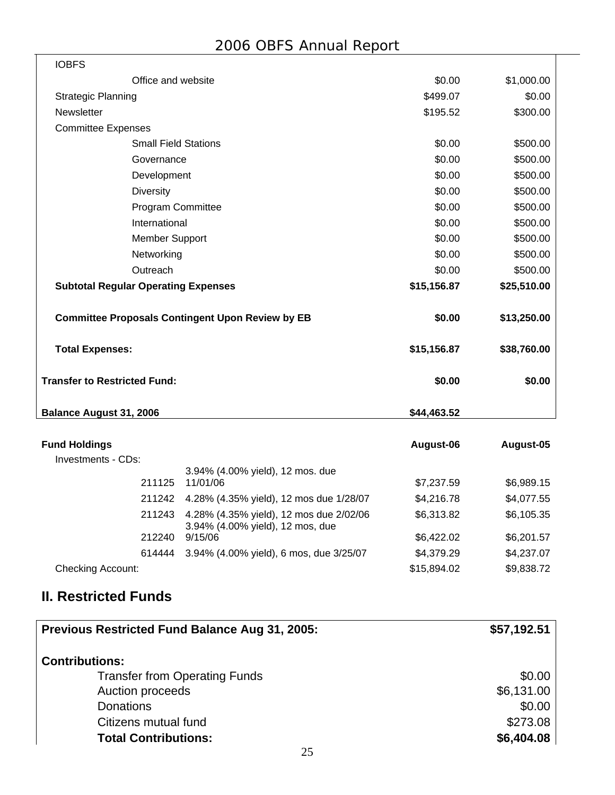Τ

| <b>IOBFS</b>                        |                                                         |             |             |
|-------------------------------------|---------------------------------------------------------|-------------|-------------|
|                                     | Office and website                                      | \$0.00      | \$1,000.00  |
| <b>Strategic Planning</b>           |                                                         | \$499.07    | \$0.00      |
| Newsletter                          |                                                         | \$195.52    | \$300.00    |
| <b>Committee Expenses</b>           |                                                         |             |             |
|                                     | <b>Small Field Stations</b>                             | \$0.00      | \$500.00    |
|                                     | Governance                                              | \$0.00      | \$500.00    |
|                                     | Development                                             | \$0.00      | \$500.00    |
|                                     | <b>Diversity</b>                                        | \$0.00      | \$500.00    |
|                                     | <b>Program Committee</b>                                | \$0.00      | \$500.00    |
|                                     | International                                           | \$0.00      | \$500.00    |
|                                     | <b>Member Support</b>                                   | \$0.00      | \$500.00    |
|                                     | Networking                                              | \$0.00      | \$500.00    |
|                                     | Outreach                                                | \$0.00      | \$500.00    |
|                                     | <b>Subtotal Regular Operating Expenses</b>              | \$15,156.87 | \$25,510.00 |
|                                     | <b>Committee Proposals Contingent Upon Review by EB</b> | \$0.00      | \$13,250.00 |
| <b>Total Expenses:</b>              |                                                         | \$15,156.87 | \$38,760.00 |
| <b>Transfer to Restricted Fund:</b> |                                                         | \$0.00      | \$0.00      |
| <b>Balance August 31, 2006</b>      |                                                         | \$44,463.52 |             |

| <b>Fund Holdings</b>     |        |                                                                             | August-06   | August-05  |
|--------------------------|--------|-----------------------------------------------------------------------------|-------------|------------|
| Investments - CDs:       |        |                                                                             |             |            |
|                          |        | 3.94% (4.00% yield), 12 mos. due                                            |             |            |
|                          | 211125 | 11/01/06                                                                    | \$7,237.59  | \$6,989.15 |
|                          | 211242 | 4.28% (4.35% yield), 12 mos due 1/28/07                                     | \$4,216.78  | \$4,077.55 |
|                          | 211243 | 4.28% (4.35% yield), 12 mos due 2/02/06<br>3.94% (4.00% yield), 12 mos, due | \$6,313.82  | \$6,105.35 |
|                          | 212240 | 9/15/06                                                                     | \$6.422.02  | \$6,201.57 |
|                          | 614444 | 3.94% (4.00% yield), 6 mos, due 3/25/07                                     | \$4,379.29  | \$4,237.07 |
| <b>Checking Account:</b> |        |                                                                             | \$15,894.02 | \$9,838.72 |

## **II. Restricted Funds**

| Previous Restricted Fund Balance Aug 31, 2005: | \$57,192.51 |
|------------------------------------------------|-------------|
| <b>Contributions:</b>                          |             |
| <b>Transfer from Operating Funds</b>           | \$0.00      |
| Auction proceeds                               | \$6,131.00  |
| <b>Donations</b>                               | \$0.00      |
| Citizens mutual fund                           | \$273.08    |
| <b>Total Contributions:</b>                    | \$6,404.08  |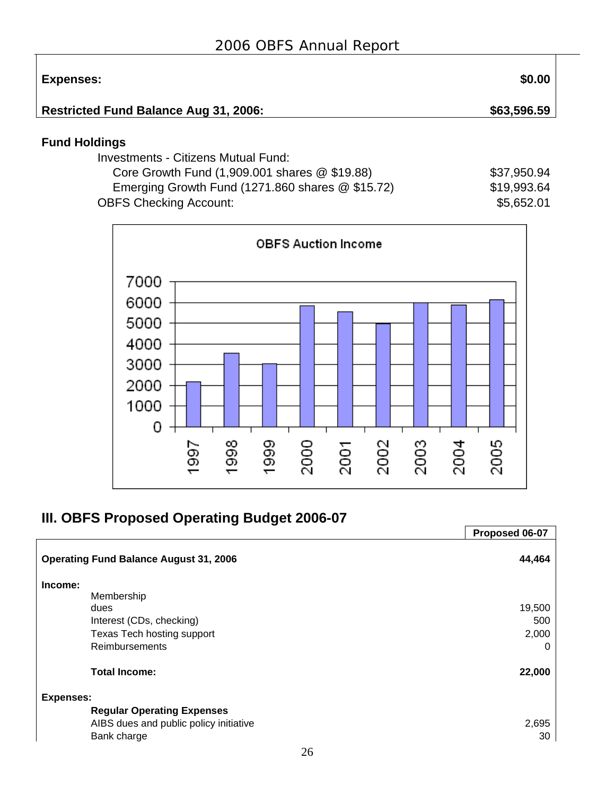| Expenses:                                    | \$0.00      |
|----------------------------------------------|-------------|
| <b>Restricted Fund Balance Aug 31, 2006:</b> | \$63,596.59 |

## **Fund Holdings**

 $\top$ 

| Investments - Citizens Mutual Fund:                  |             |
|------------------------------------------------------|-------------|
| Core Growth Fund $(1,909.001$ shares $@$ \$19.88)    | \$37,950.94 |
| Emerging Growth Fund $(1271.860$ shares $@$ \$15.72) | \$19,993.64 |
| <b>OBFS Checking Account:</b>                        | \$5,652.01  |



## **III. OBFS Proposed Operating Budget 2006-07**

|                                               | Proposed 06-07 |
|-----------------------------------------------|----------------|
| <b>Operating Fund Balance August 31, 2006</b> | 44,464         |
| Income:                                       |                |
| Membership                                    |                |
| dues                                          | 19,500         |
| Interest (CDs, checking)                      | 500            |
| Texas Tech hosting support                    | 2,000          |
| <b>Reimbursements</b>                         | 0              |
| <b>Total Income:</b>                          | 22,000         |
| <b>Expenses:</b>                              |                |
| <b>Regular Operating Expenses</b>             |                |
| AIBS dues and public policy initiative        | 2,695          |
| Bank charge                                   | 30             |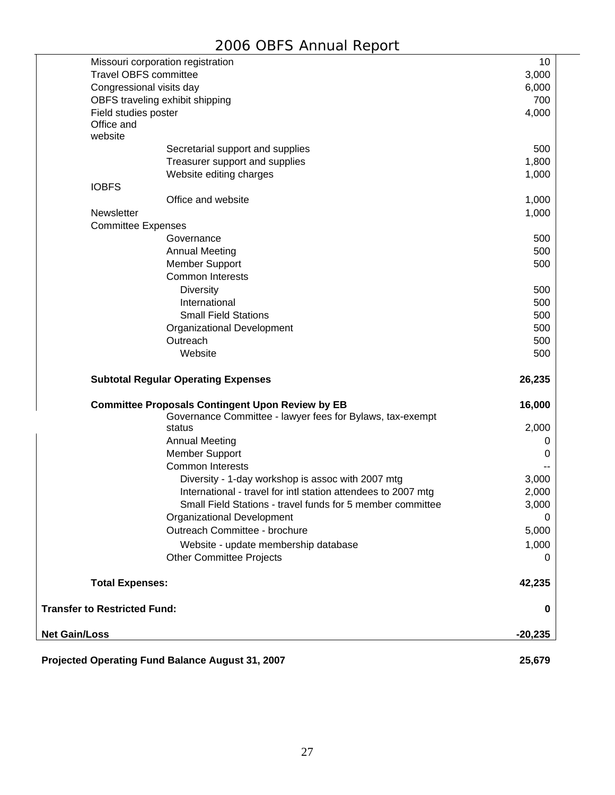| 3,000<br>6,000<br>Congressional visits day<br>700<br>OBFS traveling exhibit shipping<br>4,000<br>Field studies poster<br>Office and<br>website<br>500<br>Secretarial support and supplies<br>1,800<br>Treasurer support and supplies<br>Website editing charges<br>1,000<br><b>IOBFS</b><br>Office and website<br>1,000<br>Newsletter<br>1,000<br><b>Committee Expenses</b><br>500<br>Governance<br>500<br><b>Annual Meeting</b><br>500<br><b>Member Support</b><br><b>Common Interests</b><br><b>Diversity</b><br>500<br>International<br>500<br><b>Small Field Stations</b><br>500<br>Organizational Development<br>500<br>500<br>Outreach<br>Website<br>500<br><b>Subtotal Regular Operating Expenses</b><br>26,235<br><b>Committee Proposals Contingent Upon Review by EB</b><br>16,000<br>Governance Committee - lawyer fees for Bylaws, tax-exempt<br>2,000<br>status<br><b>Annual Meeting</b><br>O<br><b>Member Support</b><br>0<br><b>Common Interests</b><br>Diversity - 1-day workshop is assoc with 2007 mtg<br>3,000<br>International - travel for intl station attendees to 2007 mtg<br>2,000<br>Small Field Stations - travel funds for 5 member committee<br>3,000<br>Organizational Development<br>0<br>Outreach Committee - brochure<br>5,000<br>Website - update membership database<br>1,000<br><b>Other Committee Projects</b><br>0<br><b>Total Expenses:</b><br>42,235<br><b>Transfer to Restricted Fund:</b><br>0<br>$-20,235$<br>Projected Operating Fund Balance August 31, 2007<br>25,679 |                      | Missouri corporation registration | 10 |
|--------------------------------------------------------------------------------------------------------------------------------------------------------------------------------------------------------------------------------------------------------------------------------------------------------------------------------------------------------------------------------------------------------------------------------------------------------------------------------------------------------------------------------------------------------------------------------------------------------------------------------------------------------------------------------------------------------------------------------------------------------------------------------------------------------------------------------------------------------------------------------------------------------------------------------------------------------------------------------------------------------------------------------------------------------------------------------------------------------------------------------------------------------------------------------------------------------------------------------------------------------------------------------------------------------------------------------------------------------------------------------------------------------------------------------------------------------------------------------------------------------------------|----------------------|-----------------------------------|----|
|                                                                                                                                                                                                                                                                                                                                                                                                                                                                                                                                                                                                                                                                                                                                                                                                                                                                                                                                                                                                                                                                                                                                                                                                                                                                                                                                                                                                                                                                                                                    |                      | <b>Travel OBFS committee</b>      |    |
|                                                                                                                                                                                                                                                                                                                                                                                                                                                                                                                                                                                                                                                                                                                                                                                                                                                                                                                                                                                                                                                                                                                                                                                                                                                                                                                                                                                                                                                                                                                    |                      |                                   |    |
|                                                                                                                                                                                                                                                                                                                                                                                                                                                                                                                                                                                                                                                                                                                                                                                                                                                                                                                                                                                                                                                                                                                                                                                                                                                                                                                                                                                                                                                                                                                    |                      |                                   |    |
|                                                                                                                                                                                                                                                                                                                                                                                                                                                                                                                                                                                                                                                                                                                                                                                                                                                                                                                                                                                                                                                                                                                                                                                                                                                                                                                                                                                                                                                                                                                    |                      |                                   |    |
|                                                                                                                                                                                                                                                                                                                                                                                                                                                                                                                                                                                                                                                                                                                                                                                                                                                                                                                                                                                                                                                                                                                                                                                                                                                                                                                                                                                                                                                                                                                    |                      |                                   |    |
|                                                                                                                                                                                                                                                                                                                                                                                                                                                                                                                                                                                                                                                                                                                                                                                                                                                                                                                                                                                                                                                                                                                                                                                                                                                                                                                                                                                                                                                                                                                    |                      |                                   |    |
|                                                                                                                                                                                                                                                                                                                                                                                                                                                                                                                                                                                                                                                                                                                                                                                                                                                                                                                                                                                                                                                                                                                                                                                                                                                                                                                                                                                                                                                                                                                    |                      |                                   |    |
|                                                                                                                                                                                                                                                                                                                                                                                                                                                                                                                                                                                                                                                                                                                                                                                                                                                                                                                                                                                                                                                                                                                                                                                                                                                                                                                                                                                                                                                                                                                    |                      |                                   |    |
|                                                                                                                                                                                                                                                                                                                                                                                                                                                                                                                                                                                                                                                                                                                                                                                                                                                                                                                                                                                                                                                                                                                                                                                                                                                                                                                                                                                                                                                                                                                    |                      |                                   |    |
|                                                                                                                                                                                                                                                                                                                                                                                                                                                                                                                                                                                                                                                                                                                                                                                                                                                                                                                                                                                                                                                                                                                                                                                                                                                                                                                                                                                                                                                                                                                    |                      |                                   |    |
|                                                                                                                                                                                                                                                                                                                                                                                                                                                                                                                                                                                                                                                                                                                                                                                                                                                                                                                                                                                                                                                                                                                                                                                                                                                                                                                                                                                                                                                                                                                    |                      |                                   |    |
|                                                                                                                                                                                                                                                                                                                                                                                                                                                                                                                                                                                                                                                                                                                                                                                                                                                                                                                                                                                                                                                                                                                                                                                                                                                                                                                                                                                                                                                                                                                    |                      |                                   |    |
|                                                                                                                                                                                                                                                                                                                                                                                                                                                                                                                                                                                                                                                                                                                                                                                                                                                                                                                                                                                                                                                                                                                                                                                                                                                                                                                                                                                                                                                                                                                    |                      |                                   |    |
|                                                                                                                                                                                                                                                                                                                                                                                                                                                                                                                                                                                                                                                                                                                                                                                                                                                                                                                                                                                                                                                                                                                                                                                                                                                                                                                                                                                                                                                                                                                    |                      |                                   |    |
|                                                                                                                                                                                                                                                                                                                                                                                                                                                                                                                                                                                                                                                                                                                                                                                                                                                                                                                                                                                                                                                                                                                                                                                                                                                                                                                                                                                                                                                                                                                    |                      |                                   |    |
|                                                                                                                                                                                                                                                                                                                                                                                                                                                                                                                                                                                                                                                                                                                                                                                                                                                                                                                                                                                                                                                                                                                                                                                                                                                                                                                                                                                                                                                                                                                    |                      |                                   |    |
|                                                                                                                                                                                                                                                                                                                                                                                                                                                                                                                                                                                                                                                                                                                                                                                                                                                                                                                                                                                                                                                                                                                                                                                                                                                                                                                                                                                                                                                                                                                    |                      |                                   |    |
|                                                                                                                                                                                                                                                                                                                                                                                                                                                                                                                                                                                                                                                                                                                                                                                                                                                                                                                                                                                                                                                                                                                                                                                                                                                                                                                                                                                                                                                                                                                    |                      |                                   |    |
|                                                                                                                                                                                                                                                                                                                                                                                                                                                                                                                                                                                                                                                                                                                                                                                                                                                                                                                                                                                                                                                                                                                                                                                                                                                                                                                                                                                                                                                                                                                    |                      |                                   |    |
|                                                                                                                                                                                                                                                                                                                                                                                                                                                                                                                                                                                                                                                                                                                                                                                                                                                                                                                                                                                                                                                                                                                                                                                                                                                                                                                                                                                                                                                                                                                    |                      |                                   |    |
|                                                                                                                                                                                                                                                                                                                                                                                                                                                                                                                                                                                                                                                                                                                                                                                                                                                                                                                                                                                                                                                                                                                                                                                                                                                                                                                                                                                                                                                                                                                    |                      |                                   |    |
|                                                                                                                                                                                                                                                                                                                                                                                                                                                                                                                                                                                                                                                                                                                                                                                                                                                                                                                                                                                                                                                                                                                                                                                                                                                                                                                                                                                                                                                                                                                    |                      |                                   |    |
|                                                                                                                                                                                                                                                                                                                                                                                                                                                                                                                                                                                                                                                                                                                                                                                                                                                                                                                                                                                                                                                                                                                                                                                                                                                                                                                                                                                                                                                                                                                    |                      |                                   |    |
|                                                                                                                                                                                                                                                                                                                                                                                                                                                                                                                                                                                                                                                                                                                                                                                                                                                                                                                                                                                                                                                                                                                                                                                                                                                                                                                                                                                                                                                                                                                    |                      |                                   |    |
|                                                                                                                                                                                                                                                                                                                                                                                                                                                                                                                                                                                                                                                                                                                                                                                                                                                                                                                                                                                                                                                                                                                                                                                                                                                                                                                                                                                                                                                                                                                    |                      |                                   |    |
|                                                                                                                                                                                                                                                                                                                                                                                                                                                                                                                                                                                                                                                                                                                                                                                                                                                                                                                                                                                                                                                                                                                                                                                                                                                                                                                                                                                                                                                                                                                    |                      |                                   |    |
|                                                                                                                                                                                                                                                                                                                                                                                                                                                                                                                                                                                                                                                                                                                                                                                                                                                                                                                                                                                                                                                                                                                                                                                                                                                                                                                                                                                                                                                                                                                    |                      |                                   |    |
|                                                                                                                                                                                                                                                                                                                                                                                                                                                                                                                                                                                                                                                                                                                                                                                                                                                                                                                                                                                                                                                                                                                                                                                                                                                                                                                                                                                                                                                                                                                    |                      |                                   |    |
|                                                                                                                                                                                                                                                                                                                                                                                                                                                                                                                                                                                                                                                                                                                                                                                                                                                                                                                                                                                                                                                                                                                                                                                                                                                                                                                                                                                                                                                                                                                    |                      |                                   |    |
|                                                                                                                                                                                                                                                                                                                                                                                                                                                                                                                                                                                                                                                                                                                                                                                                                                                                                                                                                                                                                                                                                                                                                                                                                                                                                                                                                                                                                                                                                                                    |                      |                                   |    |
|                                                                                                                                                                                                                                                                                                                                                                                                                                                                                                                                                                                                                                                                                                                                                                                                                                                                                                                                                                                                                                                                                                                                                                                                                                                                                                                                                                                                                                                                                                                    |                      |                                   |    |
|                                                                                                                                                                                                                                                                                                                                                                                                                                                                                                                                                                                                                                                                                                                                                                                                                                                                                                                                                                                                                                                                                                                                                                                                                                                                                                                                                                                                                                                                                                                    |                      |                                   |    |
|                                                                                                                                                                                                                                                                                                                                                                                                                                                                                                                                                                                                                                                                                                                                                                                                                                                                                                                                                                                                                                                                                                                                                                                                                                                                                                                                                                                                                                                                                                                    |                      |                                   |    |
|                                                                                                                                                                                                                                                                                                                                                                                                                                                                                                                                                                                                                                                                                                                                                                                                                                                                                                                                                                                                                                                                                                                                                                                                                                                                                                                                                                                                                                                                                                                    |                      |                                   |    |
|                                                                                                                                                                                                                                                                                                                                                                                                                                                                                                                                                                                                                                                                                                                                                                                                                                                                                                                                                                                                                                                                                                                                                                                                                                                                                                                                                                                                                                                                                                                    |                      |                                   |    |
|                                                                                                                                                                                                                                                                                                                                                                                                                                                                                                                                                                                                                                                                                                                                                                                                                                                                                                                                                                                                                                                                                                                                                                                                                                                                                                                                                                                                                                                                                                                    |                      |                                   |    |
|                                                                                                                                                                                                                                                                                                                                                                                                                                                                                                                                                                                                                                                                                                                                                                                                                                                                                                                                                                                                                                                                                                                                                                                                                                                                                                                                                                                                                                                                                                                    |                      |                                   |    |
|                                                                                                                                                                                                                                                                                                                                                                                                                                                                                                                                                                                                                                                                                                                                                                                                                                                                                                                                                                                                                                                                                                                                                                                                                                                                                                                                                                                                                                                                                                                    |                      |                                   |    |
|                                                                                                                                                                                                                                                                                                                                                                                                                                                                                                                                                                                                                                                                                                                                                                                                                                                                                                                                                                                                                                                                                                                                                                                                                                                                                                                                                                                                                                                                                                                    |                      |                                   |    |
|                                                                                                                                                                                                                                                                                                                                                                                                                                                                                                                                                                                                                                                                                                                                                                                                                                                                                                                                                                                                                                                                                                                                                                                                                                                                                                                                                                                                                                                                                                                    | <b>Net Gain/Loss</b> |                                   |    |
|                                                                                                                                                                                                                                                                                                                                                                                                                                                                                                                                                                                                                                                                                                                                                                                                                                                                                                                                                                                                                                                                                                                                                                                                                                                                                                                                                                                                                                                                                                                    |                      |                                   |    |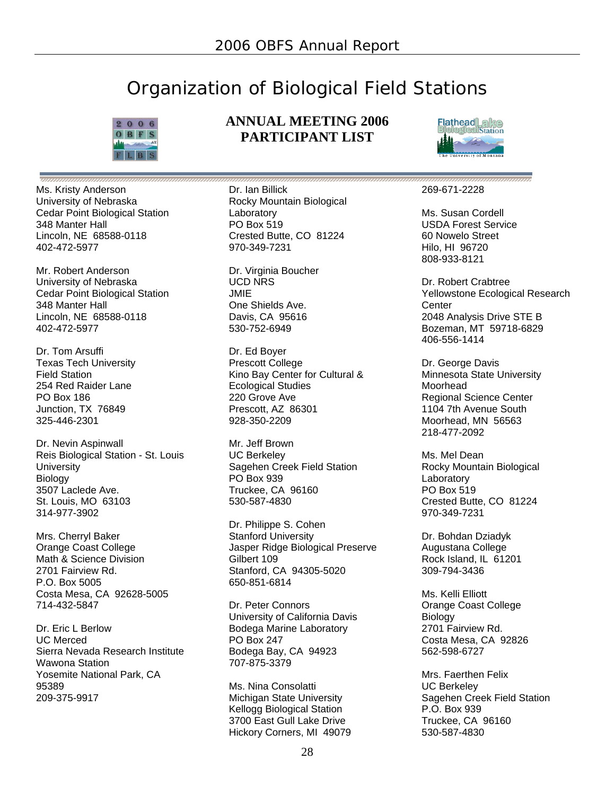## Organization of Biological Field Stations



Ms. Kristy Anderson University of Nebraska Cedar Point Biological Station 348 Manter Hall Lincoln, NE 68588-0118 402-472-5977

Mr. Robert Anderson University of Nebraska Cedar Point Biological Station 348 Manter Hall Lincoln, NE 68588-0118 402-472-5977

Dr. Tom Arsuffi Texas Tech University Field Station 254 Red Raider Lane PO Box 186 Junction, TX 76849 325-446-2301

Dr. Nevin Aspinwall Reis Biological Station - St. Louis **University** Biology 3507 Laclede Ave. St. Louis, MO 63103 314-977-3902

Mrs. Cherryl Baker Orange Coast College Math & Science Division 2701 Fairview Rd. P.O. Box 5005 Costa Mesa, CA 92628-5005 714-432-5847

Dr. Eric L Berlow UC Merced Sierra Nevada Research Institute Wawona Station Yosemite National Park, CA 95389 209-375-9917

#### **ANNUAL MEETING 2006 PARTICIPANT LIST**

Dr. Ian Billick Rocky Mountain Biological Laboratory PO Box 519 Crested Butte, CO 81224 970-349-7231

Dr. Virginia Boucher UCD NRS JMIE One Shields Ave. Davis, CA 95616 530-752-6949

Dr. Ed Boyer Prescott College Kino Bay Center for Cultural & Ecological Studies 220 Grove Ave Prescott, AZ 86301 928-350-2209

Mr. Jeff Brown UC Berkeley Sagehen Creek Field Station PO Box 939 Truckee, CA 96160 530-587-4830

Dr. Philippe S. Cohen Stanford University Jasper Ridge Biological Preserve Gilbert 109 Stanford, CA 94305-5020 650-851-6814

Dr. Peter Connors University of California Davis Bodega Marine Laboratory PO Box 247 Bodega Bay, CA 94923 707-875-3379

Ms. Nina Consolatti Michigan State University Kellogg Biological Station 3700 East Gull Lake Drive Hickory Corners, MI 49079



#### 269-671-2228

Ms. Susan Cordell USDA Forest Service 60 Nowelo Street Hilo, HI 96720 808-933-8121

Dr. Robert Crabtree Yellowstone Ecological Research **Center** 2048 Analysis Drive STE B Bozeman, MT 59718-6829 406-556-1414

Dr. George Davis Minnesota State University Moorhead Regional Science Center 1104 7th Avenue South Moorhead, MN 56563 218-477-2092

Ms. Mel Dean Rocky Mountain Biological Laboratory PO Box 519 Crested Butte, CO 81224 970-349-7231

Dr. Bohdan Dziadyk Augustana College Rock Island, IL 61201 309-794-3436

Ms. Kelli Elliott Orange Coast College Biology 2701 Fairview Rd. Costa Mesa, CA 92826 562-598-6727

Mrs. Faerthen Felix UC Berkeley Sagehen Creek Field Station P.O. Box 939 Truckee, CA 96160 530-587-4830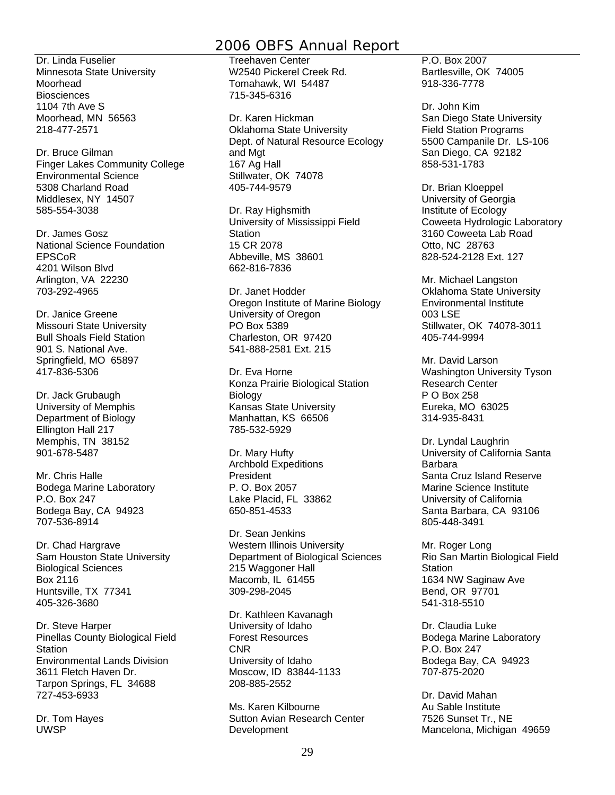Dr. Linda Fuselier Minnesota State University Moorhead **Biosciences** 1104 7th Ave S Moorhead, MN 56563 218-477-2571

Dr. Bruce Gilman Finger Lakes Community College Environmental Science 5308 Charland Road Middlesex, NY 14507 585-554-3038

Dr. James Gosz National Science Foundation EPSCoR 4201 Wilson Blvd Arlington, VA 22230 703-292-4965

Dr. Janice Greene Missouri State University Bull Shoals Field Station 901 S. National Ave. Springfield, MO 65897 417-836-5306

Dr. Jack Grubaugh University of Memphis Department of Biology Ellington Hall 217 Memphis, TN 38152 901-678-5487

Mr. Chris Halle Bodega Marine Laboratory P.O. Box 247 Bodega Bay, CA 94923 707-536-8914

Dr. Chad Hargrave Sam Houston State University Biological Sciences Box 2116 Huntsville, TX 77341 405-326-3680

Dr. Steve Harper Pinellas County Biological Field **Station** Environmental Lands Division 3611 Fletch Haven Dr. Tarpon Springs, FL 34688 727-453-6933

Dr. Tom Hayes UWSP

Treehaven Center W2540 Pickerel Creek Rd. Tomahawk, WI 54487 715-345-6316

Dr. Karen Hickman Oklahoma State University Dept. of Natural Resource Ecology and Mgt 167 Ag Hall Stillwater, OK 74078 405-744-9579

Dr. Ray Highsmith University of Mississippi Field **Station** 15 CR 2078 Abbeville, MS 38601 662-816-7836

Dr. Janet Hodder Oregon Institute of Marine Biology University of Oregon PO Box 5389 Charleston, OR 97420 541-888-2581 Ext. 215

Dr. Eva Horne Konza Prairie Biological Station Biology Kansas State University Manhattan, KS 66506 785-532-5929

Dr. Mary Hufty Archbold Expeditions President P. O. Box 2057 Lake Placid, FL 33862 650-851-4533

Dr. Sean Jenkins Western Illinois University Department of Biological Sciences 215 Waggoner Hall Macomb, IL 61455 309-298-2045

Dr. Kathleen Kavanagh University of Idaho Forest Resources CNR University of Idaho Moscow, ID 83844-1133 208-885-2552

Ms. Karen Kilbourne Sutton Avian Research Center **Development** 

P.O. Box 2007 Bartlesville, OK 74005 918-336-7778

Dr. John Kim San Diego State University Field Station Programs 5500 Campanile Dr. LS-106 San Diego, CA 92182 858-531-1783

Dr. Brian Kloeppel University of Georgia Institute of Ecology Coweeta Hydrologic Laboratory 3160 Coweeta Lab Road Otto, NC 28763 828-524-2128 Ext. 127

Mr. Michael Langston Oklahoma State University Environmental Institute 003 LSE Stillwater, OK 74078-3011 405-744-9994

Mr. David Larson Washington University Tyson Research Center P O Box 258 Eureka, MO 63025 314-935-8431

Dr. Lyndal Laughrin University of California Santa Barbara Santa Cruz Island Reserve Marine Science Institute University of California Santa Barbara, CA 93106 805-448-3491

Mr. Roger Long Rio San Martin Biological Field **Station** 1634 NW Saginaw Ave Bend, OR 97701 541-318-5510

Dr. Claudia Luke Bodega Marine Laboratory P.O. Box 247 Bodega Bay, CA 94923 707-875-2020

Dr. David Mahan Au Sable Institute 7526 Sunset Tr., NE Mancelona, Michigan 49659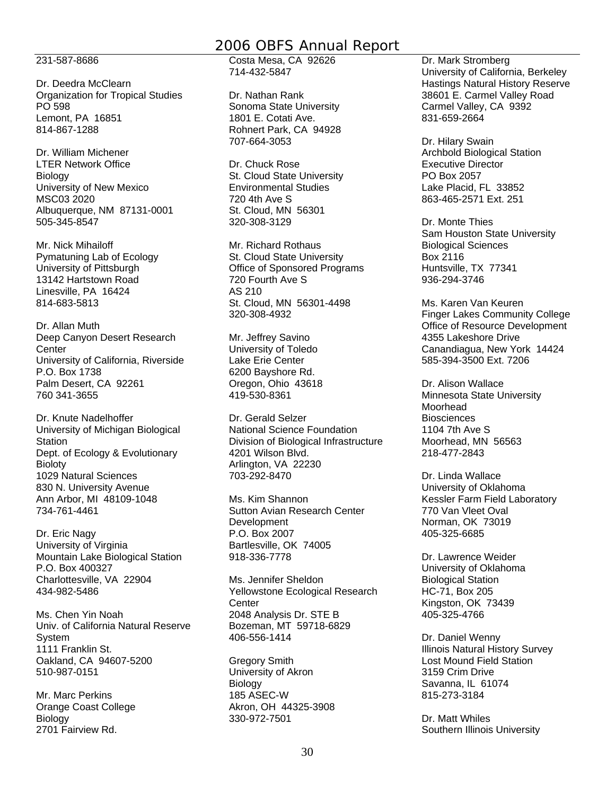231-587-8686

Dr. Deedra McClearn Organization for Tropical Studies PO 598 Lemont, PA 16851 814-867-1288

Dr. William Michener LTER Network Office Biology University of New Mexico MSC03 2020 Albuquerque, NM 87131-0001 505-345-8547

Mr. Nick Mihailoff Pymatuning Lab of Ecology University of Pittsburgh 13142 Hartstown Road Linesville, PA 16424 814-683-5813

Dr. Allan Muth Deep Canyon Desert Research **Center** University of California, Riverside P.O. Box 1738 Palm Desert, CA 92261 760 341-3655

Dr. Knute Nadelhoffer University of Michigan Biological **Station** Dept. of Ecology & Evolutionary **Bioloty** 1029 Natural Sciences 830 N. University Avenue Ann Arbor, MI 48109-1048 734-761-4461

Dr. Eric Nagy University of Virginia Mountain Lake Biological Station P.O. Box 400327 Charlottesville, VA 22904 434-982-5486

Ms. Chen Yin Noah Univ. of California Natural Reserve System 1111 Franklin St. Oakland, CA 94607-5200 510-987-0151

Mr. Marc Perkins Orange Coast College Biology 2701 Fairview Rd.

Costa Mesa, CA 92626 714-432-5847

Dr. Nathan Rank Sonoma State University 1801 E. Cotati Ave. Rohnert Park, CA 94928 707-664-3053

Dr. Chuck Rose St. Cloud State University Environmental Studies 720 4th Ave S St. Cloud, MN 56301 320-308-3129

Mr. Richard Rothaus St. Cloud State University Office of Sponsored Programs 720 Fourth Ave S AS 210 St. Cloud, MN 56301-4498 320-308-4932

Mr. Jeffrey Savino University of Toledo Lake Erie Center 6200 Bayshore Rd. Oregon, Ohio 43618 419-530-8361

Dr. Gerald Selzer National Science Foundation Division of Biological Infrastructure 4201 Wilson Blvd. Arlington, VA 22230 703-292-8470

Ms. Kim Shannon Sutton Avian Research Center Development P.O. Box 2007 Bartlesville, OK 74005 918-336-7778

Ms. Jennifer Sheldon Yellowstone Ecological Research **Center** 2048 Analysis Dr. STE B Bozeman, MT 59718-6829 406-556-1414

Gregory Smith University of Akron Biology 185 ASEC-W Akron, OH 44325-3908 330-972-7501

Dr. Mark Stromberg University of California, Berkeley Hastings Natural History Reserve 38601 E. Carmel Valley Road Carmel Valley, CA 9392 831-659-2664

Dr. Hilary Swain Archbold Biological Station Executive Director PO Box 2057 Lake Placid, FL 33852 863-465-2571 Ext. 251

Dr. Monte Thies Sam Houston State University Biological Sciences Box 2116 Huntsville, TX 77341 936-294-3746

Ms. Karen Van Keuren Finger Lakes Community College Office of Resource Development 4355 Lakeshore Drive Canandiagua, New York 14424 585-394-3500 Ext. 7206

Dr. Alison Wallace Minnesota State University Moorhead **Biosciences** 1104 7th Ave S Moorhead, MN 56563 218-477-2843

Dr. Linda Wallace University of Oklahoma Kessler Farm Field Laboratory 770 Van Vleet Oval Norman, OK 73019 405-325-6685

Dr. Lawrence Weider University of Oklahoma Biological Station HC-71, Box 205 Kingston, OK 73439 405-325-4766

Dr. Daniel Wenny Illinois Natural History Survey Lost Mound Field Station 3159 Crim Drive Savanna, IL 61074 815-273-3184

Dr. Matt Whiles Southern Illinois University